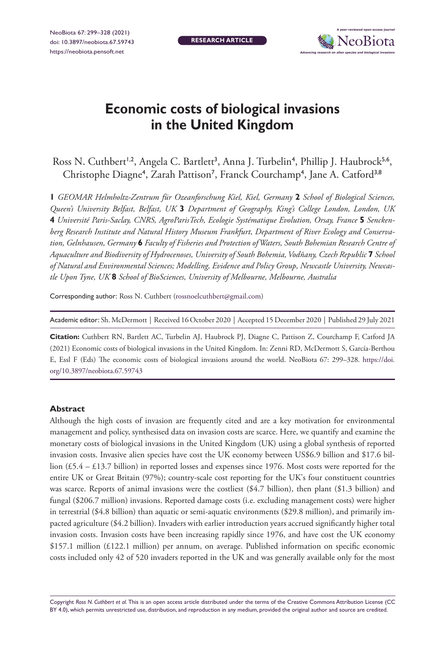**RESEARCH ARTICLE**



# **Economic costs of biological invasions in the United Kingdom**

Ross N. Cuthbert<sup>1,2</sup>, Angela C. Bartlett<sup>3</sup>, Anna J. Turbelin<sup>4</sup>, Phillip J. Haubrock<sup>5,6</sup>, Christophe Diagne<sup>4</sup>, Zarah Pattison<sup>7</sup>, Franck Courchamp<sup>4</sup>, Jane A. Catford<sup>3,8</sup>

**1** *GEOMAR Helmholtz-Zentrum für Ozeanforschung Kiel, Kiel, Germany* **2** *School of Biological Sciences, Queen's University Belfast, Belfast, UK* **3** *Department of Geography, King's College London, London, UK*  **4** *Université Paris-Saclay, CNRS, AgroParisTech, Ecologie Systématique Evolution, Orsay, France* **5** *Senckenberg Research Institute and Natural History Museum Frankfurt, Department of River Ecology and Conservation, Gelnhausen, Germany* **6** *Faculty of Fisheries and Protection of Waters, South Bohemian Research Centre of Aquaculture and Biodiversity of Hydrocenoses, University of South Bohemia, Vodňany, Czech Republic* **7** *School of Natural and Environmental Sciences; Modelling, Evidence and Policy Group, Newcastle University, Newcastle Upon Tyne, UK* **8** *School of BioSciences, University of Melbourne, Melbourne, Australia*

Corresponding author: Ross N. Cuthbert ([rossnoelcuthbert@gmail.com\)](mailto:rossnoelcuthbert@gmail.com)

Academic editor: Sh. McDermott | Received 16 October 2020 | Accepted 15 December 2020 | Published 29 July 2021

**Citation:** Cuthbert RN, Bartlett AC, Turbelin AJ, Haubrock PJ, Diagne C, Pattison Z, Courchamp F, Catford JA (2021) Economic costs of biological invasions in the United Kingdom. In: Zenni RD, McDermott S, García-Berthou E, Essl F (Eds) The economic costs of biological invasions around the world. NeoBiota 67: 299–328. [https://doi.](https://doi.org/10.3897/neobiota.67.59743) [org/10.3897/neobiota.67.59743](https://doi.org/10.3897/neobiota.67.59743)

#### **Abstract**

Although the high costs of invasion are frequently cited and are a key motivation for environmental management and policy, synthesised data on invasion costs are scarce. Here, we quantify and examine the monetary costs of biological invasions in the United Kingdom (UK) using a global synthesis of reported invasion costs. Invasive alien species have cost the UK economy between US\$6.9 billion and \$17.6 billion (£5.4 – £13.7 billion) in reported losses and expenses since 1976. Most costs were reported for the entire UK or Great Britain (97%); country-scale cost reporting for the UK's four constituent countries was scarce. Reports of animal invasions were the costliest (\$4.7 billion), then plant (\$1.3 billion) and fungal (\$206.7 million) invasions. Reported damage costs (i.e. excluding management costs) were higher in terrestrial (\$4.8 billion) than aquatic or semi-aquatic environments (\$29.8 million), and primarily impacted agriculture (\$4.2 billion). Invaders with earlier introduction years accrued significantly higher total invasion costs. Invasion costs have been increasing rapidly since 1976, and have cost the UK economy \$157.1 million (£122.1 million) per annum, on average. Published information on specific economic costs included only 42 of 520 invaders reported in the UK and was generally available only for the most

Copyright *Ross N. Cuthbert et al.* This is an open access article distributed under the terms of the [Creative Commons Attribution License \(CC](http://creativecommons.org/licenses/by/4.0/)  [BY 4.0\)](http://creativecommons.org/licenses/by/4.0/), which permits unrestricted use, distribution, and reproduction in any medium, provided the original author and source are credited.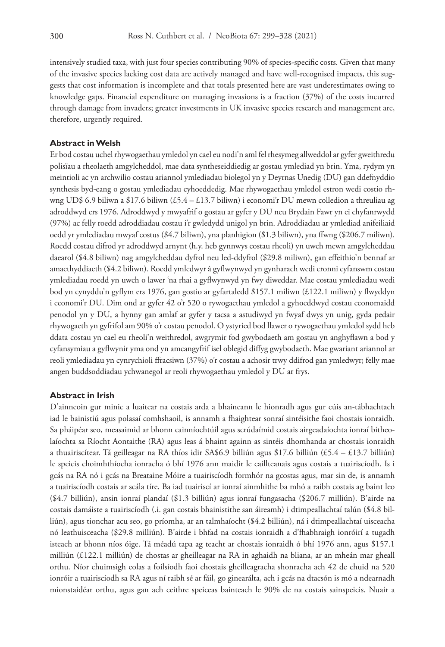intensively studied taxa, with just four species contributing 90% of species-specific costs. Given that many of the invasive species lacking cost data are actively managed and have well-recognised impacts, this suggests that cost information is incomplete and that totals presented here are vast underestimates owing to knowledge gaps. Financial expenditure on managing invasions is a fraction (37%) of the costs incurred through damage from invaders; greater investments in UK invasive species research and management are, therefore, urgently required.

#### **Abstract in Welsh**

Er bod costau uchel rhywogaethau ymledol yn cael eu nodi'n aml fel rhesymeg allweddol ar gyfer gweithredu polisïau a rheolaeth amgylcheddol, mae data syntheseiddiedig ar gostau ymlediad yn brin. Yma, rydym yn meintioli ac yn archwilio costau ariannol ymlediadau biolegol yn y Deyrnas Unedig (DU) gan ddefnyddio synthesis byd-eang o gostau ymlediadau cyhoeddedig. Mae rhywogaethau ymledol estron wedi costio rhwng UD\$ 6.9 biliwn a \$17.6 biliwn (£5.4 – £13.7 biliwn) i economi'r DU mewn colledion a threuliau ag adroddwyd ers 1976. Adroddwyd y mwyafrif o gostau ar gyfer y DU neu Brydain Fawr yn ei chyfanrwydd (97%) ac felly roedd adroddiadau costau i'r gwledydd unigol yn brin. Adroddiadau ar ymlediad anifeiliaid oedd yr ymlediadau mwyaf costus (\$4.7 biliwn), yna planhigion (\$1.3 biliwn), yna ffwng (\$206.7 miliwn). Roedd costau difrod yr adroddwyd arnynt (h.y. heb gynnwys costau rheoli) yn uwch mewn amgylcheddau daearol (\$4.8 biliwn) nag amgylcheddau dyfrol neu led-ddyfrol (\$29.8 miliwn), gan effeithio'n bennaf ar amaethyddiaeth (\$4.2 biliwn). Roedd ymledwyr â gyflwynwyd yn gynharach wedi cronni cyfanswm costau ymlediadau roedd yn uwch o lawer 'na rhai a gyflwynwyd yn fwy diweddar. Mae costau ymlediadau wedi bod yn cynyddu'n gyflym ers 1976, gan gostio ar gyfartaledd \$157.1 miliwn (£122.1 miliwn) y flwyddyn i economi'r DU. Dim ond ar gyfer 42 o'r 520 o rywogaethau ymledol a gyhoeddwyd costau economaidd penodol yn y DU, a hynny gan amlaf ar gyfer y tacsa a astudiwyd yn fwyaf dwys yn unig, gyda pedair rhywogaeth yn gyfrifol am 90% o'r costau penodol. O ystyried bod llawer o rywogaethau ymledol sydd heb ddata costau yn cael eu rheoli'n weithredol, awgrymir fod gwybodaeth am gostau yn anghyflawn a bod y cyfansymiau a gyflwynir yma ond yn amcangyfrif isel oblegid diffyg gwybodaeth. Mae gwariant ariannol ar reoli ymlediadau yn cynrychioli ffracsiwn (37%) o'r costau a achosir trwy ddifrod gan ymledwyr; felly mae angen buddsoddiadau ychwanegol ar reoli rhywogaethau ymledol y DU ar frys.

#### **Abstract in Irish**

D'ainneoin gur minic a luaitear na costais arda a bhaineann le hionradh agus gur cúis an-tábhachtach iad le bainistiú agus polasaí comhshaoil, is annamh a fhaightear sonraí sintéisithe faoi chostais ionraidh. Sa pháipéar seo, measaimid ar bhonn cainníochtúil agus scrúdaímid costais airgeadaíochta ionraí bitheolaíochta sa Ríocht Aontaithe (RA) agus leas á bhaint againn as sintéis dhomhanda ar chostais ionraidh a thuairiscítear. Tá geilleagar na RA thíos idir SA\$6.9 billiún agus \$17.6 billiún (£5.4 – £13.7 billiún) le speicis choimhthíocha ionracha ó bhí 1976 ann maidir le caillteanais agus costais a tuairiscíodh. Is i gcás na RA nó i gcás na Breataine Móire a tuairiscíodh formhór na gcostas agus, mar sin de, is annamh a tuairiscíodh costais ar scála tíre. Ba iad tuairiscí ar ionraí ainmhithe ba mhó a raibh costais ag baint leo (\$4.7 billiún), ansin ionraí plandaí (\$1.3 billiún) agus ionraí fungasacha (\$206.7 milliún). B'airde na costais damáiste a tuairiscíodh (.i. gan costais bhainistithe san áireamh) i dtimpeallachtaí talún (\$4.8 billiún), agus tionchar acu seo, go príomha, ar an talmhaíocht (\$4.2 billiún), ná i dtimpeallachtaí uisceacha nó leathuisceacha (\$29.8 milliún). B'airde i bhfad na costais ionraidh a d'fhabhraigh ionróirí a tugadh isteach ar bhonn níos óige. Tá méadú tapa ag teacht ar chostais ionraidh ó bhí 1976 ann, agus \$157.1 milliún (£122.1 milliún) de chostas ar gheilleagar na RA in aghaidh na bliana, ar an mheán mar gheall orthu. Níor chuimsigh eolas a foilsíodh faoi chostais gheilleagracha shonracha ach 42 de chuid na 520 ionróir a tuairiscíodh sa RA agus ní raibh sé ar fáil, go ginearálta, ach i gcás na dtacsón is mó a ndearnadh mionstaidéar orthu, agus gan ach ceithre speiceas bainteach le 90% de na costais sainspeicis. Nuair a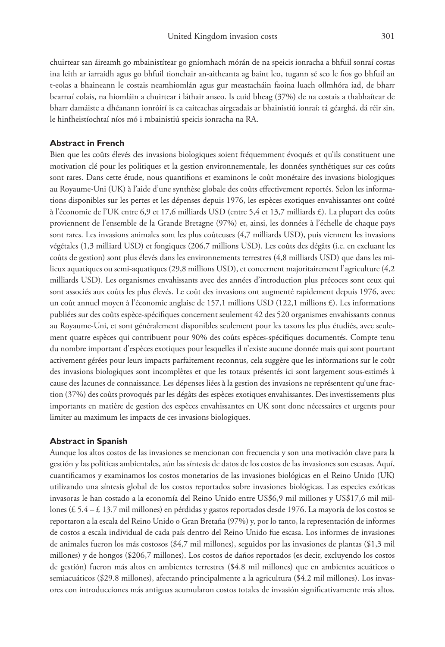chuirtear san áireamh go mbainistítear go gníomhach mórán de na speicis ionracha a bhfuil sonraí costas ina leith ar iarraidh agus go bhfuil tionchair an-aitheanta ag baint leo, tugann sé seo le fios go bhfuil an t-eolas a bhaineann le costais neamhiomlán agus gur meastacháin faoina luach ollmhóra iad, de bharr bearnaí eolais, na hiomláin a chuirtear i láthair anseo. Is cuid bheag (37%) de na costais a thabhaítear de bharr damáiste a dhéanann ionróirí is ea caiteachas airgeadais ar bhainistiú ionraí; tá géarghá, dá réir sin, le hinfheistíochtaí níos mó i mbainistiú speicis ionracha na RA.

#### **Abstract in French**

Bien que les coûts élevés des invasions biologiques soient fréquemment évoqués et qu'ils constituent une motivation clé pour les politiques et la gestion environnementale, les données synthétiques sur ces coûts sont rares. Dans cette étude, nous quantifions et examinons le coût monétaire des invasions biologiques au Royaume-Uni (UK) à l'aide d'une synthèse globale des coûts effectivement reportés. Selon les informations disponibles sur les pertes et les dépenses depuis 1976, les espèces exotiques envahissantes ont coûté à l'économie de l'UK entre 6,9 et 17,6 milliards USD (entre 5,4 et 13,7 milliards £). La plupart des coûts proviennent de l'ensemble de la Grande Bretagne (97%) et, ainsi, les données à l'échelle de chaque pays sont rares. Les invasions animales sont les plus coûteuses (4,7 milliards USD), puis viennent les invasions végétales (1,3 milliard USD) et fongiques (206,7 millions USD). Les coûts des dégâts (i.e. en excluant les coûts de gestion) sont plus élevés dans les environnements terrestres (4,8 milliards USD) que dans les milieux aquatiques ou semi-aquatiques (29,8 millions USD), et concernent majoritairement l'agriculture (4,2 milliards USD). Les organismes envahissants avec des années d'introduction plus précoces sont ceux qui sont associés aux coûts les plus élevés. Le coût des invasions ont augmenté rapidement depuis 1976, avec un coût annuel moyen à l'économie anglaise de 157,1 millions USD (122,1 millions £). Les informations publiées sur des coûts espèce-spécifiques concernent seulement 42 des 520 organismes envahissants connus au Royaume-Uni, et sont généralement disponibles seulement pour les taxons les plus étudiés, avec seulement quatre espèces qui contribuent pour 90% des coûts espèces-spécifiques documentés. Compte tenu du nombre important d'espèces exotiques pour lesquelles il n'existe aucune donnée mais qui sont pourtant activement gérées pour leurs impacts parfaitement reconnus, cela suggère que les informations sur le coût des invasions biologiques sont incomplètes et que les totaux présentés ici sont largement sous-estimés à cause des lacunes de connaissance. Les dépenses liées à la gestion des invasions ne représentent qu'une fraction (37%) des coûts provoqués par les dégâts des espèces exotiques envahissantes. Des investissements plus importants en matière de gestion des espèces envahissantes en UK sont donc nécessaires et urgents pour limiter au maximum les impacts de ces invasions biologiques.

#### **Abstract in Spanish**

Aunque los altos costos de las invasiones se mencionan con frecuencia y son una motivación clave para la gestión y las políticas ambientales, aún las síntesis de datos de los costos de las invasiones son escasas. Aquí, cuantificamos y examinamos los costos monetarios de las invasiones biológicas en el Reino Unido (UK) utilizando una síntesis global de los costos reportados sobre invasiones biológicas. Las especies exóticas invasoras le han costado a la economía del Reino Unido entre US\$6,9 mil millones y US\$17,6 mil millones (£ 5.4 – £ 13.7 mil millones) en pérdidas y gastos reportados desde 1976. La mayoría de los costos se reportaron a la escala del Reino Unido o Gran Bretaña (97%) y, por lo tanto, la representación de informes de costos a escala individual de cada país dentro del Reino Unido fue escasa. Los informes de invasiones de animales fueron los más costosos (\$4,7 mil millones), seguidos por las invasiones de plantas (\$1,3 mil millones) y de hongos (\$206,7 millones). Los costos de daños reportados (es decir, excluyendo los costos de gestión) fueron más altos en ambientes terrestres (\$4.8 mil millones) que en ambientes acuáticos o semiacuáticos (\$29.8 millones), afectando principalmente a la agricultura (\$4.2 mil millones). Los invasores con introducciones más antiguas acumularon costos totales de invasión significativamente más altos.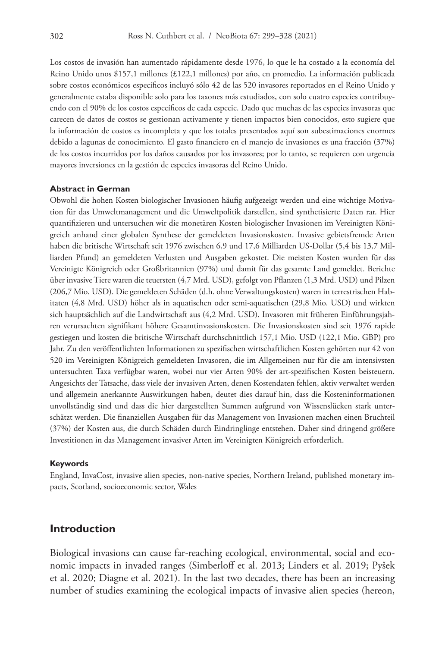Los costos de invasión han aumentado rápidamente desde 1976, lo que le ha costado a la economía del Reino Unido unos \$157,1 millones (£122,1 millones) por año, en promedio. La información publicada sobre costos económicos específicos incluyó sólo 42 de las 520 invasores reportados en el Reino Unido y generalmente estaba disponible solo para los taxones más estudiados, con solo cuatro especies contribuyendo con el 90% de los costos específicos de cada especie. Dado que muchas de las especies invasoras que carecen de datos de costos se gestionan activamente y tienen impactos bien conocidos, esto sugiere que la información de costos es incompleta y que los totales presentados aquí son subestimaciones enormes debido a lagunas de conocimiento. El gasto financiero en el manejo de invasiones es una fracción (37%) de los costos incurridos por los daños causados por los invasores; por lo tanto, se requieren con urgencia mayores inversiones en la gestión de especies invasoras del Reino Unido.

#### **Abstract in German**

Obwohl die hohen Kosten biologischer Invasionen häufig aufgezeigt werden und eine wichtige Motivation für das Umweltmanagement und die Umweltpolitik darstellen, sind synthetisierte Daten rar. Hier quantifizieren und untersuchen wir die monetären Kosten biologischer Invasionen im Vereinigten Königreich anhand einer globalen Synthese der gemeldeten Invasionskosten. Invasive gebietsfremde Arten haben die britische Wirtschaft seit 1976 zwischen 6,9 und 17,6 Milliarden US-Dollar (5,4 bis 13,7 Milliarden Pfund) an gemeldeten Verlusten und Ausgaben gekostet. Die meisten Kosten wurden für das Vereinigte Königreich oder Großbritannien (97%) und damit für das gesamte Land gemeldet. Berichte über invasive Tiere waren die teuersten (4,7 Mrd. USD), gefolgt von Pflanzen (1,3 Mrd. USD) und Pilzen (206,7 Mio. USD). Die gemeldeten Schäden (d.h. ohne Verwaltungskosten) waren in terrestrischen Habitaten (4,8 Mrd. USD) höher als in aquatischen oder semi-aquatischen (29,8 Mio. USD) und wirkten sich hauptsächlich auf die Landwirtschaft aus (4,2 Mrd. USD). Invasoren mit früheren Einführungsjahren verursachten signifikant höhere Gesamtinvasionskosten. Die Invasionskosten sind seit 1976 rapide gestiegen und kosten die britische Wirtschaft durchschnittlich 157,1 Mio. USD (122,1 Mio. GBP) pro Jahr. Zu den veröffentlichten Informationen zu spezifischen wirtschaftlichen Kosten gehörten nur 42 von 520 im Vereinigten Königreich gemeldeten Invasoren, die im Allgemeinen nur für die am intensivsten untersuchten Taxa verfügbar waren, wobei nur vier Arten 90% der art-spezifischen Kosten beisteuern. Angesichts der Tatsache, dass viele der invasiven Arten, denen Kostendaten fehlen, aktiv verwaltet werden und allgemein anerkannte Auswirkungen haben, deutet dies darauf hin, dass die Kosteninformationen unvollständig sind und dass die hier dargestellten Summen aufgrund von Wissenslücken stark unterschätzt werden. Die finanziellen Ausgaben für das Management von Invasionen machen einen Bruchteil (37%) der Kosten aus, die durch Schäden durch Eindringlinge entstehen. Daher sind dringend größere Investitionen in das Management invasiver Arten im Vereinigten Königreich erforderlich.

#### **Keywords**

England, InvaCost, invasive alien species, non-native species, Northern Ireland, published monetary impacts, Scotland, socioeconomic sector, Wales

### **Introduction**

Biological invasions can cause far-reaching ecological, environmental, social and economic impacts in invaded ranges (Simberloff et al. 2013; Linders et al. 2019; Pyšek et al. 2020; Diagne et al. 2021). In the last two decades, there has been an increasing number of studies examining the ecological impacts of invasive alien species (hereon,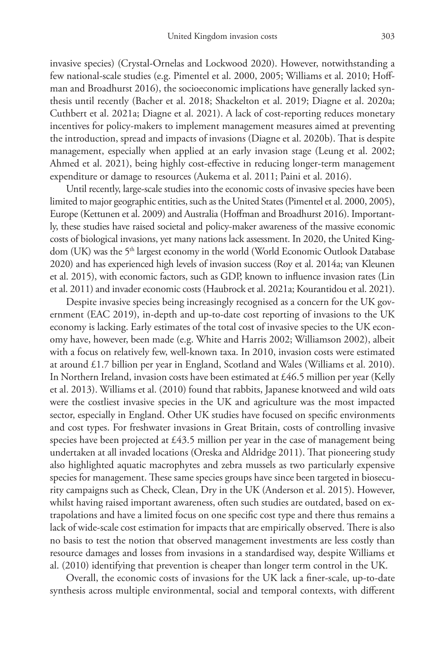invasive species) (Crystal-Ornelas and Lockwood 2020). However, notwithstanding a few national-scale studies (e.g. Pimentel et al. 2000, 2005; Williams et al. 2010; Hoffman and Broadhurst 2016), the socioeconomic implications have generally lacked synthesis until recently (Bacher et al. 2018; Shackelton et al. 2019; Diagne et al. 2020a; Cuthbert et al. 2021a; Diagne et al. 2021). A lack of cost-reporting reduces monetary incentives for policy-makers to implement management measures aimed at preventing the introduction, spread and impacts of invasions (Diagne et al. 2020b). That is despite management, especially when applied at an early invasion stage (Leung et al. 2002; Ahmed et al. 2021), being highly cost-effective in reducing longer-term management expenditure or damage to resources (Aukema et al. 2011; Paini et al. 2016).

Until recently, large-scale studies into the economic costs of invasive species have been limited to major geographic entities, such as the United States (Pimentel et al. 2000, 2005), Europe (Kettunen et al. 2009) and Australia (Hoffman and Broadhurst 2016). Importantly, these studies have raised societal and policy-maker awareness of the massive economic costs of biological invasions, yet many nations lack assessment. In 2020, the United Kingdom (UK) was the 5<sup>th</sup> largest economy in the world (World Economic Outlook Database 2020) and has experienced high levels of invasion success (Roy et al. 2014a; van Kleunen et al. 2015), with economic factors, such as GDP, known to influence invasion rates (Lin et al. 2011) and invader economic costs (Haubrock et al. 2021a; Kourantidou et al. 2021).

Despite invasive species being increasingly recognised as a concern for the UK government (EAC 2019), in-depth and up-to-date cost reporting of invasions to the UK economy is lacking. Early estimates of the total cost of invasive species to the UK economy have, however, been made (e.g. White and Harris 2002; Williamson 2002), albeit with a focus on relatively few, well-known taxa. In 2010, invasion costs were estimated at around £1.7 billion per year in England, Scotland and Wales (Williams et al. 2010). In Northern Ireland, invasion costs have been estimated at £46.5 million per year (Kelly et al. 2013). Williams et al. (2010) found that rabbits, Japanese knotweed and wild oats were the costliest invasive species in the UK and agriculture was the most impacted sector, especially in England. Other UK studies have focused on specific environments and cost types. For freshwater invasions in Great Britain, costs of controlling invasive species have been projected at £43.5 million per year in the case of management being undertaken at all invaded locations (Oreska and Aldridge 2011). That pioneering study also highlighted aquatic macrophytes and zebra mussels as two particularly expensive species for management. These same species groups have since been targeted in biosecurity campaigns such as Check, Clean, Dry in the UK (Anderson et al. 2015). However, whilst having raised important awareness, often such studies are outdated, based on extrapolations and have a limited focus on one specific cost type and there thus remains a lack of wide-scale cost estimation for impacts that are empirically observed. There is also no basis to test the notion that observed management investments are less costly than resource damages and losses from invasions in a standardised way, despite Williams et al. (2010) identifying that prevention is cheaper than longer term control in the UK.

Overall, the economic costs of invasions for the UK lack a finer-scale, up-to-date synthesis across multiple environmental, social and temporal contexts, with different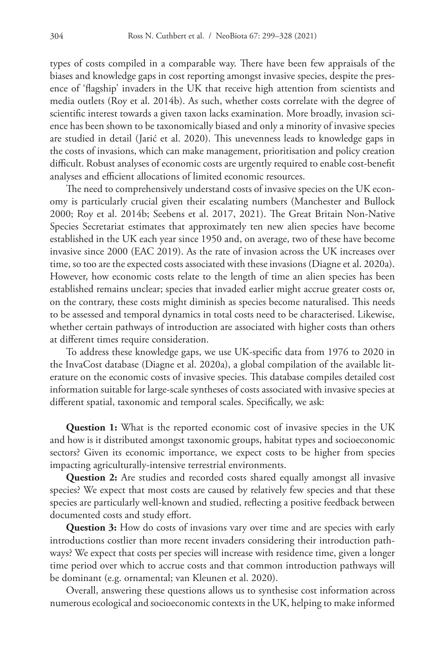types of costs compiled in a comparable way. There have been few appraisals of the biases and knowledge gaps in cost reporting amongst invasive species, despite the presence of 'flagship' invaders in the UK that receive high attention from scientists and media outlets (Roy et al. 2014b). As such, whether costs correlate with the degree of scientific interest towards a given taxon lacks examination. More broadly, invasion science has been shown to be taxonomically biased and only a minority of invasive species are studied in detail (Jarić et al. 2020). This unevenness leads to knowledge gaps in the costs of invasions, which can make management, prioritisation and policy creation difficult. Robust analyses of economic costs are urgently required to enable cost-benefit analyses and efficient allocations of limited economic resources.

The need to comprehensively understand costs of invasive species on the UK economy is particularly crucial given their escalating numbers (Manchester and Bullock 2000; Roy et al. 2014b; Seebens et al. 2017, 2021). The Great Britain Non-Native Species Secretariat estimates that approximately ten new alien species have become established in the UK each year since 1950 and, on average, two of these have become invasive since 2000 (EAC 2019). As the rate of invasion across the UK increases over time, so too are the expected costs associated with these invasions (Diagne et al. 2020a). However, how economic costs relate to the length of time an alien species has been established remains unclear; species that invaded earlier might accrue greater costs or, on the contrary, these costs might diminish as species become naturalised. This needs to be assessed and temporal dynamics in total costs need to be characterised. Likewise, whether certain pathways of introduction are associated with higher costs than others at different times require consideration.

To address these knowledge gaps, we use UK-specific data from 1976 to 2020 in the InvaCost database (Diagne et al. 2020a), a global compilation of the available literature on the economic costs of invasive species. This database compiles detailed cost information suitable for large-scale syntheses of costs associated with invasive species at different spatial, taxonomic and temporal scales. Specifically, we ask:

**Question 1:** What is the reported economic cost of invasive species in the UK and how is it distributed amongst taxonomic groups, habitat types and socioeconomic sectors? Given its economic importance, we expect costs to be higher from species impacting agriculturally-intensive terrestrial environments.

**Question 2:** Are studies and recorded costs shared equally amongst all invasive species? We expect that most costs are caused by relatively few species and that these species are particularly well-known and studied, reflecting a positive feedback between documented costs and study effort.

**Question 3:** How do costs of invasions vary over time and are species with early introductions costlier than more recent invaders considering their introduction pathways? We expect that costs per species will increase with residence time, given a longer time period over which to accrue costs and that common introduction pathways will be dominant (e.g. ornamental; van Kleunen et al. 2020).

Overall, answering these questions allows us to synthesise cost information across numerous ecological and socioeconomic contexts in the UK, helping to make informed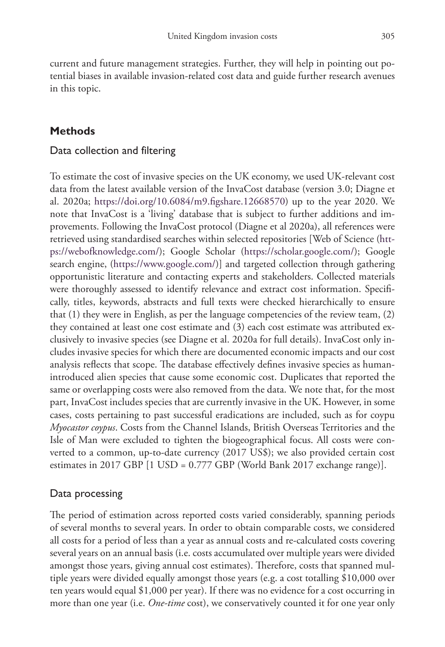current and future management strategies. Further, they will help in pointing out potential biases in available invasion-related cost data and guide further research avenues in this topic.

## **Methods**

### Data collection and filtering

To estimate the cost of invasive species on the UK economy, we used UK-relevant cost data from the latest available version of the InvaCost database (version 3.0; Diagne et al. 2020a; [https://doi.org/10.6084/m9.figshare.12668570\)](https://doi.org/10.6084/m9.figshare.12668570) up to the year 2020. We note that InvaCost is a 'living' database that is subject to further additions and improvements. Following the InvaCost protocol (Diagne et al 2020a), all references were retrieved using standardised searches within selected repositories [Web of Science [\(htt](https://webofknowledge.com/)[ps://webofknowledge.com/](https://webofknowledge.com/)); Google Scholar (<https://scholar.google.com/>); Google search engine, [\(https://www.google.com/\)](https://www.google.com/)] and targeted collection through gathering opportunistic literature and contacting experts and stakeholders. Collected materials were thoroughly assessed to identify relevance and extract cost information. Specifically, titles, keywords, abstracts and full texts were checked hierarchically to ensure that (1) they were in English, as per the language competencies of the review team, (2) they contained at least one cost estimate and (3) each cost estimate was attributed exclusively to invasive species (see Diagne et al. 2020a for full details). InvaCost only includes invasive species for which there are documented economic impacts and our cost analysis reflects that scope. The database effectively defines invasive species as humanintroduced alien species that cause some economic cost. Duplicates that reported the same or overlapping costs were also removed from the data. We note that, for the most part, InvaCost includes species that are currently invasive in the UK. However, in some cases, costs pertaining to past successful eradications are included, such as for coypu *Myocastor coypus*. Costs from the Channel Islands, British Overseas Territories and the Isle of Man were excluded to tighten the biogeographical focus. All costs were converted to a common, up-to-date currency (2017 US\$); we also provided certain cost estimates in 2017 GBP [1 USD = 0.777 GBP (World Bank 2017 exchange range)].

## Data processing

The period of estimation across reported costs varied considerably, spanning periods of several months to several years. In order to obtain comparable costs, we considered all costs for a period of less than a year as annual costs and re-calculated costs covering several years on an annual basis (i.e. costs accumulated over multiple years were divided amongst those years, giving annual cost estimates). Therefore, costs that spanned multiple years were divided equally amongst those years (e.g. a cost totalling \$10,000 over ten years would equal \$1,000 per year). If there was no evidence for a cost occurring in more than one year (i.e. *One-time* cost), we conservatively counted it for one year only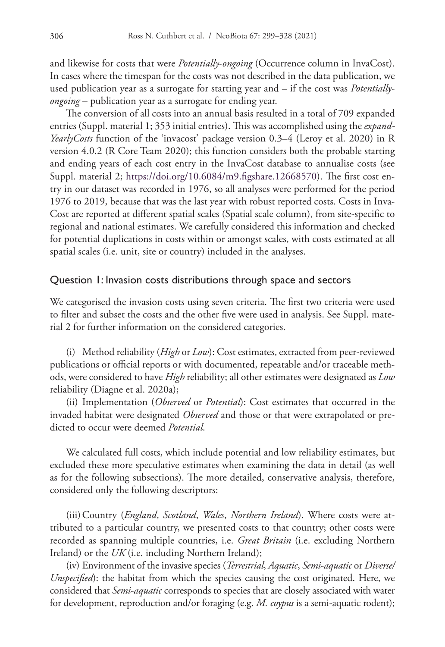and likewise for costs that were *Potentially-ongoing* (Occurrence column in InvaCost). In cases where the timespan for the costs was not described in the data publication, we used publication year as a surrogate for starting year and – if the cost was *Potentiallyongoing* – publication year as a surrogate for ending year.

The conversion of all costs into an annual basis resulted in a total of 709 expanded entries (Suppl. material 1; 353 initial entries). This was accomplished using the *expand-YearlyCosts* function of the 'invacost' package version 0.3–4 (Leroy et al. 2020) in R version 4.0.2 (R Core Team 2020); this function considers both the probable starting and ending years of each cost entry in the InvaCost database to annualise costs (see Suppl. material 2; <https://doi.org/10.6084/m9.figshare.12668570>). The first cost entry in our dataset was recorded in 1976, so all analyses were performed for the period 1976 to 2019, because that was the last year with robust reported costs. Costs in Inva-Cost are reported at different spatial scales (Spatial scale column), from site-specific to regional and national estimates. We carefully considered this information and checked for potential duplications in costs within or amongst scales, with costs estimated at all spatial scales (i.e. unit, site or country) included in the analyses.

#### Question 1: Invasion costs distributions through space and sectors

We categorised the invasion costs using seven criteria. The first two criteria were used to filter and subset the costs and the other five were used in analysis. See Suppl. material 2 for further information on the considered categories.

(i) Method reliability (*High* or *Low*): Cost estimates, extracted from peer-reviewed publications or official reports or with documented, repeatable and/or traceable methods, were considered to have *High* reliability; all other estimates were designated as *Low* reliability (Diagne et al. 2020a);

(ii) Implementation (*Observed* or *Potential*): Cost estimates that occurred in the invaded habitat were designated *Observed* and those or that were extrapolated or predicted to occur were deemed *Potential*.

We calculated full costs, which include potential and low reliability estimates, but excluded these more speculative estimates when examining the data in detail (as well as for the following subsections). The more detailed, conservative analysis, therefore, considered only the following descriptors:

(iii)Country (*England*, *Scotland*, *Wales*, *Northern Ireland*). Where costs were attributed to a particular country, we presented costs to that country; other costs were recorded as spanning multiple countries, i.e. *Great Britain* (i.e. excluding Northern Ireland) or the *UK* (i.e. including Northern Ireland);

(iv) Environment of the invasive species (*Terrestrial*, *Aquatic*, *Semi-aquatic* or *Diverse/ Unspecified*): the habitat from which the species causing the cost originated. Here, we considered that *Semi-aquatic* corresponds to species that are closely associated with water for development, reproduction and/or foraging (e.g. *M. coypus* is a semi-aquatic rodent);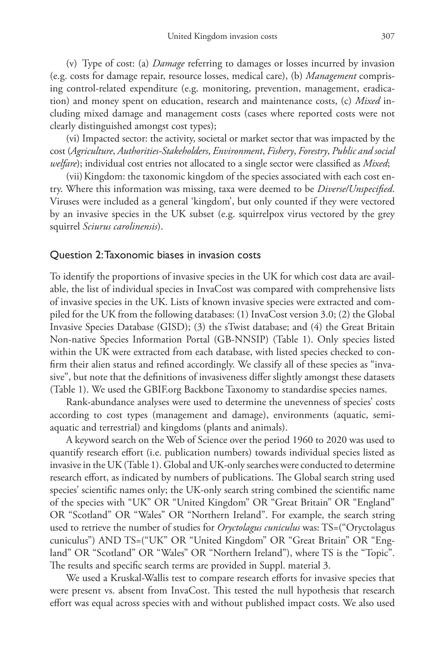(v) Type of cost: (a) *Damage* referring to damages or losses incurred by invasion (e.g. costs for damage repair, resource losses, medical care), (b) *Management* comprising control-related expenditure (e.g. monitoring, prevention, management, eradication) and money spent on education, research and maintenance costs, (c) *Mixed* including mixed damage and management costs (cases where reported costs were not clearly distinguished amongst cost types);

(vi) Impacted sector: the activity, societal or market sector that was impacted by the cost (*Agriculture*, *Authorities-Stakeholders*, *Environment*, *Fishery*, *Forestry*, *Public and social welfare*); individual cost entries not allocated to a single sector were classified as *Mixed*;

(vii) Kingdom: the taxonomic kingdom of the species associated with each cost entry. Where this information was missing, taxa were deemed to be *Diverse/Unspecified*. Viruses were included as a general 'kingdom', but only counted if they were vectored by an invasive species in the UK subset (e.g. squirrelpox virus vectored by the grey squirrel *Sciurus carolinensis*).

### Question 2: Taxonomic biases in invasion costs

To identify the proportions of invasive species in the UK for which cost data are available, the list of individual species in InvaCost was compared with comprehensive lists of invasive species in the UK. Lists of known invasive species were extracted and compiled for the UK from the following databases: (1) InvaCost version 3.0; (2) the Global Invasive Species Database (GISD); (3) the sTwist database; and (4) the Great Britain Non-native Species Information Portal (GB-NNSIP) (Table 1). Only species listed within the UK were extracted from each database, with listed species checked to confirm their alien status and refined accordingly. We classify all of these species as "invasive", but note that the definitions of invasiveness differ slightly amongst these datasets (Table 1). We used the GBIF.org Backbone Taxonomy to standardise species names.

Rank-abundance analyses were used to determine the unevenness of species' costs according to cost types (management and damage), environments (aquatic, semiaquatic and terrestrial) and kingdoms (plants and animals).

A keyword search on the Web of Science over the period 1960 to 2020 was used to quantify research effort (i.e. publication numbers) towards individual species listed as invasive in the UK (Table 1). Global and UK-only searches were conducted to determine research effort, as indicated by numbers of publications. The Global search string used species' scientific names only; the UK-only search string combined the scientific name of the species with "UK" OR "United Kingdom" OR "Great Britain" OR "England" OR "Scotland" OR "Wales" OR "Northern Ireland". For example, the search string used to retrieve the number of studies for *Oryctolagus cuniculus* was: TS=("Oryctolagus cuniculus") AND TS=("UK" OR "United Kingdom" OR "Great Britain" OR "England" OR "Scotland" OR "Wales" OR "Northern Ireland"), where TS is the "Topic". The results and specific search terms are provided in Suppl. material 3.

We used a Kruskal-Wallis test to compare research efforts for invasive species that were present vs. absent from InvaCost. This tested the null hypothesis that research effort was equal across species with and without published impact costs. We also used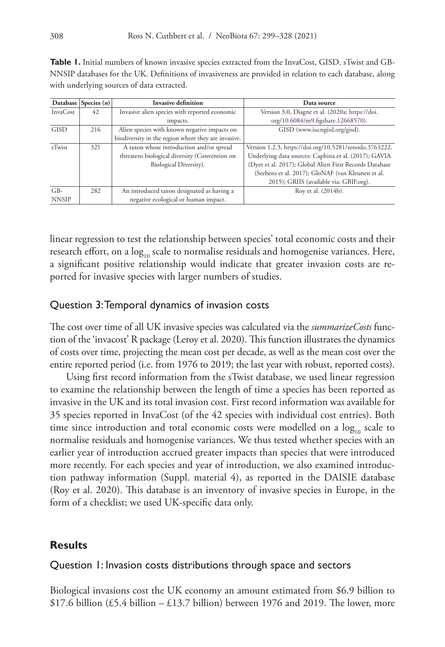Table 1. Initial numbers of known invasive species extracted from the InvaCost, GISD, sTwist and GB-NNSIP databases for the UK. Definitions of invasiveness are provided in relation to each database, along with underlying sources of data extracted.

|              | Database Species $(n)$ | <b>Invasive definition</b>                          | Data source                                             |
|--------------|------------------------|-----------------------------------------------------|---------------------------------------------------------|
| InvaCost     | 42                     | Invasive alien species with reported economic       | Version 3.0, Diagne et al. (2020a; https://doi.         |
|              |                        | impacts.                                            | org/10.6084/m9.figshare.12668570).                      |
| <b>GISD</b>  | 216                    | Alien species with known negative impacts on        | GISD (www.iucngisd.org/gisd).                           |
|              |                        | biodiversity in the region where they are invasive. |                                                         |
| sTwist       | 321                    | A taxon whose introduction and/or spread            | Version 1.2.3, https://doi.org/10.5281/zenodo.3763222.  |
|              |                        | threatens biological diversity (Convention on       | Underlying data sources: Caphina et al. (2017); GAVIA   |
|              |                        | Biological Diversity).                              | (Dyer et al. 2017); Global Alien First Records Database |
|              |                        |                                                     | (Seebens et al. 2017); GloNAF (van Kleunen et al.       |
|              |                        |                                                     | 2015); GRIIS (available via: GBIF.org).                 |
| $GB-$        | 282                    | An introduced taxon designated as having a          | Roy et al. (2014b).                                     |
| <b>NNSIP</b> |                        | negative ecological or human impact.                |                                                         |

linear regression to test the relationship between species' total economic costs and their research effort, on a  $log_{10}$  scale to normalise residuals and homogenise variances. Here, a significant positive relationship would indicate that greater invasion costs are reported for invasive species with larger numbers of studies.

### Question 3: Temporal dynamics of invasion costs

The cost over time of all UK invasive species was calculated via the *summarizeCosts* function of the 'invacost' R package (Leroy et al. 2020). This function illustrates the dynamics of costs over time, projecting the mean cost per decade, as well as the mean cost over the entire reported period (i.e. from 1976 to 2019; the last year with robust, reported costs).

Using first record information from the sTwist database, we used linear regression to examine the relationship between the length of time a species has been reported as invasive in the UK and its total invasion cost. First record information was available for 35 species reported in InvaCost (of the 42 species with individual cost entries). Both time since introduction and total economic costs were modelled on a  $log<sub>10</sub>$  scale to normalise residuals and homogenise variances. We thus tested whether species with an earlier year of introduction accrued greater impacts than species that were introduced more recently. For each species and year of introduction, we also examined introduction pathway information (Suppl. material 4), as reported in the DAISIE database (Roy et al. 2020). This database is an inventory of invasive species in Europe, in the form of a checklist; we used UK-specific data only.

### **Results**

### Question 1: Invasion costs distributions through space and sectors

Biological invasions cost the UK economy an amount estimated from \$6.9 billion to \$17.6 billion (£5.4 billion – £13.7 billion) between 1976 and 2019. The lower, more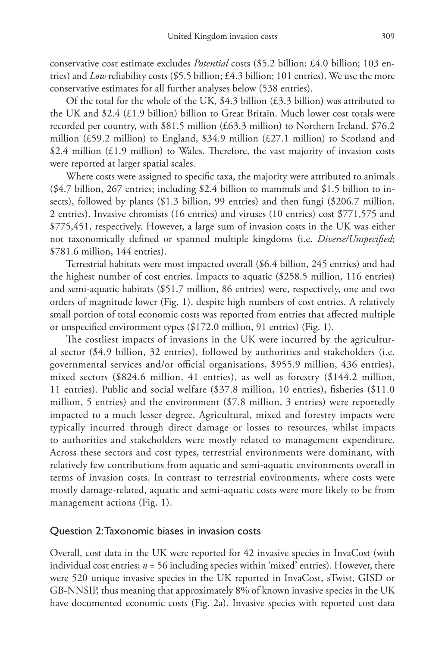conservative cost estimate excludes *Potential* costs (\$5.2 billion; £4.0 billion; 103 entries) and *Low* reliability costs (\$5.5 billion; £4.3 billion; 101 entries). We use the more conservative estimates for all further analyses below (538 entries).

Of the total for the whole of the UK,  $$4.3$  billion ( $$4.3$  billion) was attributed to the UK and \$2.4 (£1.9 billion) billion to Great Britain. Much lower cost totals were recorded per country, with \$81.5 million (£63.3 million) to Northern Ireland, \$76.2 million (£59.2 million) to England, \$34.9 million (£27.1 million) to Scotland and \$2.4 million  $(E1.9 \text{ million})$  to Wales. Therefore, the vast majority of invasion costs were reported at larger spatial scales.

Where costs were assigned to specific taxa, the majority were attributed to animals (\$4.7 billion, 267 entries; including \$2.4 billion to mammals and \$1.5 billion to insects), followed by plants (\$1.3 billion, 99 entries) and then fungi (\$206.7 million, 2 entries). Invasive chromists (16 entries) and viruses (10 entries) cost \$771,575 and \$775,451, respectively. However, a large sum of invasion costs in the UK was either not taxonomically defined or spanned multiple kingdoms (i.e. *Diverse/Unspecified*; \$781.6 million, 144 entries).

Terrestrial habitats were most impacted overall (\$6.4 billion, 245 entries) and had the highest number of cost entries. Impacts to aquatic (\$258.5 million, 116 entries) and semi-aquatic habitats (\$51.7 million, 86 entries) were, respectively, one and two orders of magnitude lower (Fig. 1), despite high numbers of cost entries. A relatively small portion of total economic costs was reported from entries that affected multiple or unspecified environment types (\$172.0 million, 91 entries) (Fig. 1).

The costliest impacts of invasions in the UK were incurred by the agricultural sector (\$4.9 billion, 32 entries), followed by authorities and stakeholders (i.e. governmental services and/or official organisations, \$955.9 million, 436 entries), mixed sectors (\$824.6 million, 41 entries), as well as forestry (\$144.2 million, 11 entries). Public and social welfare (\$37.8 million, 10 entries), fisheries (\$11.0 million, 5 entries) and the environment (\$7.8 million, 3 entries) were reportedly impacted to a much lesser degree. Agricultural, mixed and forestry impacts were typically incurred through direct damage or losses to resources, whilst impacts to authorities and stakeholders were mostly related to management expenditure. Across these sectors and cost types, terrestrial environments were dominant, with relatively few contributions from aquatic and semi-aquatic environments overall in terms of invasion costs. In contrast to terrestrial environments, where costs were mostly damage-related, aquatic and semi-aquatic costs were more likely to be from management actions (Fig. 1).

### Question 2: Taxonomic biases in invasion costs

Overall, cost data in the UK were reported for 42 invasive species in InvaCost (with individual cost entries;  $n = 56$  including species within 'mixed' entries). However, there were 520 unique invasive species in the UK reported in InvaCost, sTwist, GISD or GB-NNSIP, thus meaning that approximately 8% of known invasive species in the UK have documented economic costs (Fig. 2a). Invasive species with reported cost data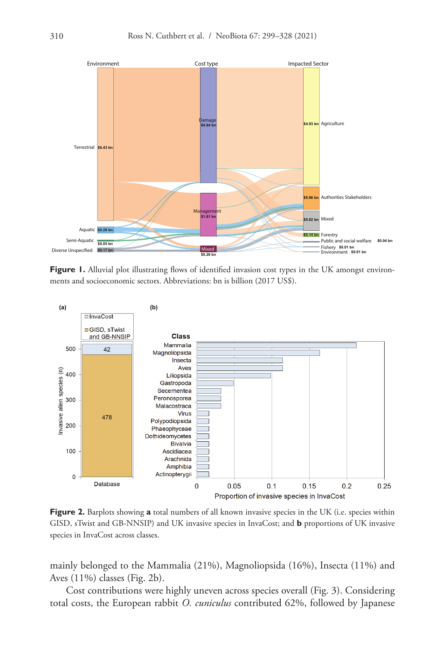

**Figure 1.** Alluvial plot illustrating flows of identified invasion cost types in the UK amongst environments and socioeconomic sectors. Abbreviations: bn is billion (2017 US\$).



**Figure 2.** Barplots showing **a** total numbers of all known invasive species in the UK (i.e. species within GISD, sTwist and GB-NNSIP) and UK invasive species in InvaCost; and **b** proportions of UK invasive species in InvaCost across classes.

mainly belonged to the Mammalia (21%), Magnoliopsida (16%), Insecta (11%) and Aves (11%) classes (Fig. 2b).

Cost contributions were highly uneven across species overall (Fig. 3). Considering total costs, the European rabbit *O. cuniculus* contributed 62%, followed by Japanese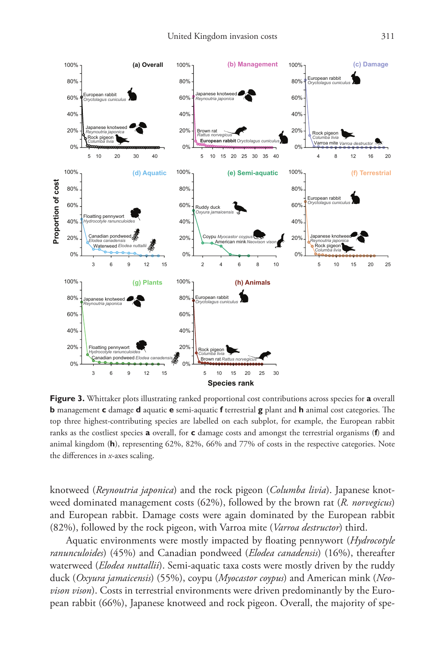

**Figure 3.** Whittaker plots illustrating ranked proportional cost contributions across species for **a** overall **b** management **c** damage **d** aquatic **e** semi-aquatic **f** terrestrial **g** plant and **h** animal cost categories. The top three highest-contributing species are labelled on each subplot, for example, the European rabbit ranks as the costliest species **a** overall, for **c** damage costs and amongst the terrestrial organisms (**f**) and animal kingdom (**h**), representing 62%, 82%, 66% and 77% of costs in the respective categories. Note the differences in *x*-axes scaling.

knotweed (*Reynoutria japonica*) and the rock pigeon (*Columba livia*). Japanese knotweed dominated management costs (62%), followed by the brown rat (*R. norvegicus*) and European rabbit. Damage costs were again dominated by the European rabbit (82%), followed by the rock pigeon, with Varroa mite (*Varroa destructor*) third.

Aquatic environments were mostly impacted by floating pennywort (*Hydrocotyle ranunculoides*) (45%) and Canadian pondweed (*Elodea canadensis*) (16%), thereafter waterweed (*Elodea nuttallii*). Semi-aquatic taxa costs were mostly driven by the ruddy duck (*Oxyura jamaicensis*) (55%), coypu (*Myocastor coypus*) and American mink (*Neovison vison*). Costs in terrestrial environments were driven predominantly by the European rabbit (66%), Japanese knotweed and rock pigeon. Overall, the majority of spe-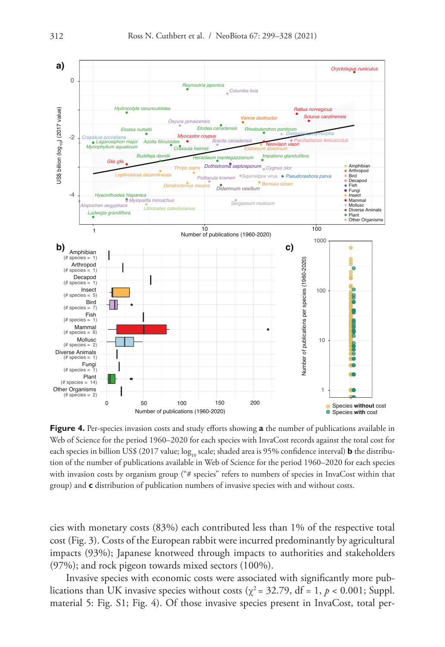

**Figure 4.** Per-species invasion costs and study efforts showing **a** the number of publications available in Web of Science for the period 1960–2020 for each species with InvaCost records against the total cost for each species in billion US\$ (2017 value; log<sub>10</sub> scale; shaded area is 95% confidence interval) **b** the distribution of the number of publications available in Web of Science for the period 1960–2020 for each species with invasion costs by organism group ("# species" refers to numbers of species in InvaCost within that group) and **c** distribution of publication numbers of invasive species with and without costs.

cies with monetary costs (83%) each contributed less than 1% of the respective total cost (Fig. 3). Costs of the European rabbit were incurred predominantly by agricultural impacts (93%); Japanese knotweed through impacts to authorities and stakeholders (97%); and rock pigeon towards mixed sectors (100%).

Invasive species with economic costs were associated with significantly more publications than UK invasive species without costs ( $\chi^2$  = 32.79, df = 1,  $p$  < 0.001; Suppl. material 5: Fig. S1; Fig. 4). Of those invasive species present in InvaCost, total per-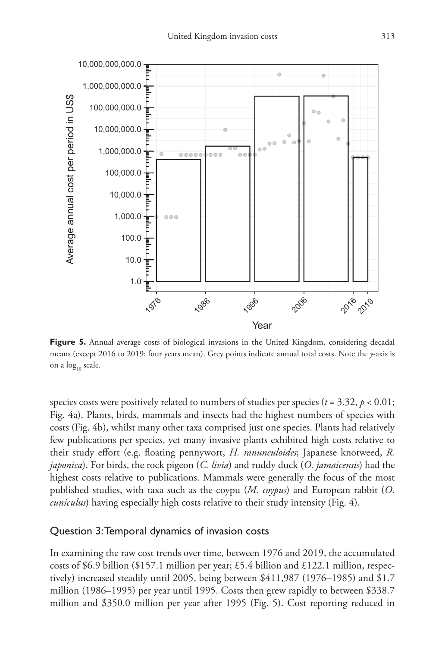

**Figure 5.** Annual average costs of biological invasions in the United Kingdom, considering decadal means (except 2016 to 2019: four years mean). Grey points indicate annual total costs. Note the *y*-axis is on a log<sub>10</sub> scale.

species costs were positively related to numbers of studies per species ( $t = 3.32$ ,  $p < 0.01$ ; Fig. 4a). Plants, birds, mammals and insects had the highest numbers of species with costs (Fig. 4b), whilst many other taxa comprised just one species. Plants had relatively few publications per species, yet many invasive plants exhibited high costs relative to their study effort (e.g. floating pennywort, *H. ranunculoides*; Japanese knotweed, *R. japonica*). For birds, the rock pigeon (*C. livia*) and ruddy duck (*O. jamaicensis*) had the highest costs relative to publications. Mammals were generally the focus of the most published studies, with taxa such as the coypu (*M. coypus*) and European rabbit (*O. cuniculus*) having especially high costs relative to their study intensity (Fig. 4).

### Question 3: Temporal dynamics of invasion costs

In examining the raw cost trends over time, between 1976 and 2019, the accumulated costs of \$6.9 billion (\$157.1 million per year; £5.4 billion and £122.1 million, respectively) increased steadily until 2005, being between \$411,987 (1976–1985) and \$1.7 million (1986–1995) per year until 1995. Costs then grew rapidly to between \$338.7 million and \$350.0 million per year after 1995 (Fig. 5). Cost reporting reduced in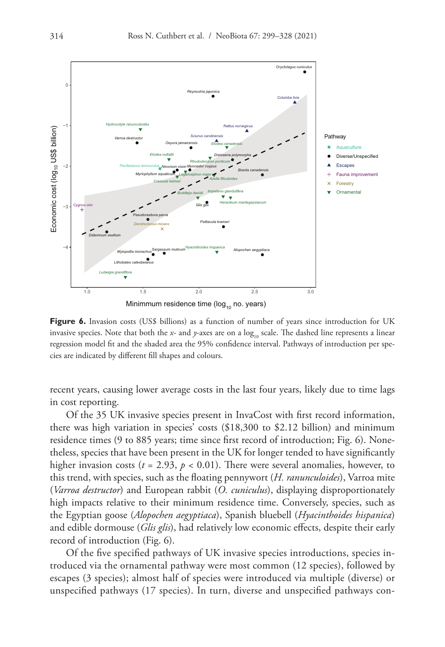

Minimmum residence time ( $log_{10}$  no. years)

**Figure 6.** Invasion costs (US\$ billions) as a function of number of years since introduction for UK invasive species. Note that both the *x*- and *y*-axes are on a  $\log_{10}$  scale. The dashed line represents a linear regression model fit and the shaded area the 95% confidence interval. Pathways of introduction per species are indicated by different fill shapes and colours.

recent years, causing lower average costs in the last four years, likely due to time lags in cost reporting.

Of the 35 UK invasive species present in InvaCost with first record information, there was high variation in species' costs (\$18,300 to \$2.12 billion) and minimum residence times (9 to 885 years; time since first record of introduction; Fig. 6). Nonetheless, species that have been present in the UK for longer tended to have significantly higher invasion costs ( $t = 2.93$ ,  $p < 0.01$ ). There were several anomalies, however, to this trend, with species, such as the floating pennywort (*H. ranunculoides*), Varroa mite (*Varroa destructor*) and European rabbit (*O. cuniculus*), displaying disproportionately high impacts relative to their minimum residence time. Conversely, species, such as the Egyptian goose (*Alopochen aegyptiaca*), Spanish bluebell (*Hyacinthoides hispanica*) and edible dormouse (*Glis glis*), had relatively low economic effects, despite their early record of introduction (Fig. 6).

Of the five specified pathways of UK invasive species introductions, species introduced via the ornamental pathway were most common (12 species), followed by escapes (3 species); almost half of species were introduced via multiple (diverse) or unspecified pathways (17 species). In turn, diverse and unspecified pathways con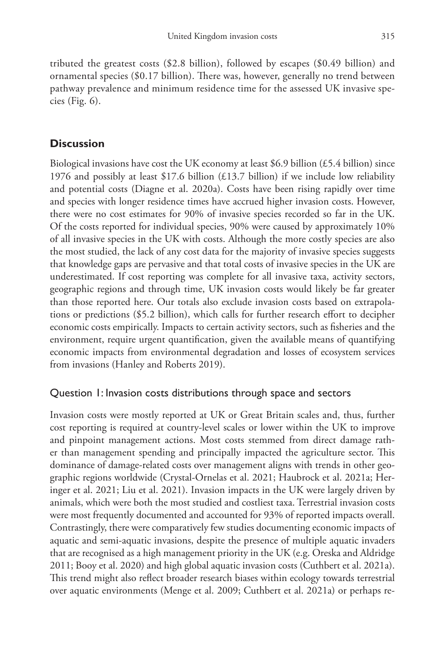tributed the greatest costs (\$2.8 billion), followed by escapes (\$0.49 billion) and ornamental species (\$0.17 billion). There was, however, generally no trend between pathway prevalence and minimum residence time for the assessed UK invasive species (Fig. 6).

## **Discussion**

Biological invasions have cost the UK economy at least \$6.9 billion (£5.4 billion) since 1976 and possibly at least \$17.6 billion  $(£13.7)$  billion) if we include low reliability and potential costs (Diagne et al. 2020a). Costs have been rising rapidly over time and species with longer residence times have accrued higher invasion costs. However, there were no cost estimates for 90% of invasive species recorded so far in the UK. Of the costs reported for individual species, 90% were caused by approximately 10% of all invasive species in the UK with costs. Although the more costly species are also the most studied, the lack of any cost data for the majority of invasive species suggests that knowledge gaps are pervasive and that total costs of invasive species in the UK are underestimated. If cost reporting was complete for all invasive taxa, activity sectors, geographic regions and through time, UK invasion costs would likely be far greater than those reported here. Our totals also exclude invasion costs based on extrapolations or predictions (\$5.2 billion), which calls for further research effort to decipher economic costs empirically. Impacts to certain activity sectors, such as fisheries and the environment, require urgent quantification, given the available means of quantifying economic impacts from environmental degradation and losses of ecosystem services from invasions (Hanley and Roberts 2019).

## Question 1: Invasion costs distributions through space and sectors

Invasion costs were mostly reported at UK or Great Britain scales and, thus, further cost reporting is required at country-level scales or lower within the UK to improve and pinpoint management actions. Most costs stemmed from direct damage rather than management spending and principally impacted the agriculture sector. This dominance of damage-related costs over management aligns with trends in other geographic regions worldwide (Crystal-Ornelas et al. 2021; Haubrock et al. 2021a; Heringer et al. 2021; Liu et al. 2021). Invasion impacts in the UK were largely driven by animals, which were both the most studied and costliest taxa. Terrestrial invasion costs were most frequently documented and accounted for 93% of reported impacts overall. Contrastingly, there were comparatively few studies documenting economic impacts of aquatic and semi-aquatic invasions, despite the presence of multiple aquatic invaders that are recognised as a high management priority in the UK (e.g. Oreska and Aldridge 2011; Booy et al. 2020) and high global aquatic invasion costs (Cuthbert et al. 2021a). This trend might also reflect broader research biases within ecology towards terrestrial over aquatic environments (Menge et al. 2009; Cuthbert et al. 2021a) or perhaps re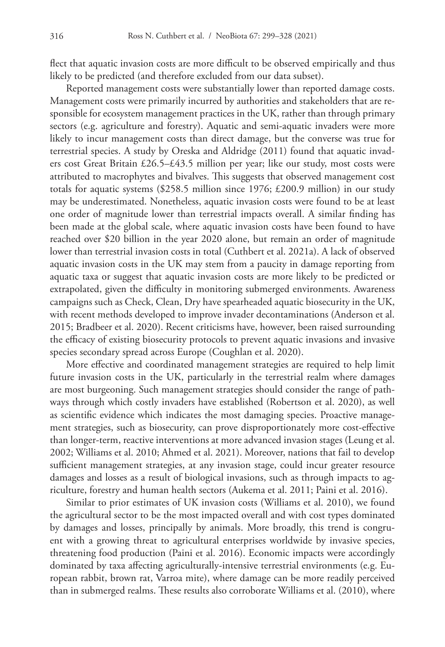flect that aquatic invasion costs are more difficult to be observed empirically and thus likely to be predicted (and therefore excluded from our data subset).

Reported management costs were substantially lower than reported damage costs. Management costs were primarily incurred by authorities and stakeholders that are responsible for ecosystem management practices in the UK, rather than through primary sectors (e.g. agriculture and forestry). Aquatic and semi-aquatic invaders were more likely to incur management costs than direct damage, but the converse was true for terrestrial species. A study by Oreska and Aldridge (2011) found that aquatic invaders cost Great Britain £26.5–£43.5 million per year; like our study, most costs were attributed to macrophytes and bivalves. This suggests that observed management cost totals for aquatic systems (\$258.5 million since 1976; £200.9 million) in our study may be underestimated. Nonetheless, aquatic invasion costs were found to be at least one order of magnitude lower than terrestrial impacts overall. A similar finding has been made at the global scale, where aquatic invasion costs have been found to have reached over \$20 billion in the year 2020 alone, but remain an order of magnitude lower than terrestrial invasion costs in total (Cuthbert et al. 2021a). A lack of observed aquatic invasion costs in the UK may stem from a paucity in damage reporting from aquatic taxa or suggest that aquatic invasion costs are more likely to be predicted or extrapolated, given the difficulty in monitoring submerged environments. Awareness campaigns such as Check, Clean, Dry have spearheaded aquatic biosecurity in the UK, with recent methods developed to improve invader decontaminations (Anderson et al. 2015; Bradbeer et al. 2020). Recent criticisms have, however, been raised surrounding the efficacy of existing biosecurity protocols to prevent aquatic invasions and invasive species secondary spread across Europe (Coughlan et al. 2020).

More effective and coordinated management strategies are required to help limit future invasion costs in the UK, particularly in the terrestrial realm where damages are most burgeoning. Such management strategies should consider the range of pathways through which costly invaders have established (Robertson et al. 2020), as well as scientific evidence which indicates the most damaging species. Proactive management strategies, such as biosecurity, can prove disproportionately more cost-effective than longer-term, reactive interventions at more advanced invasion stages (Leung et al. 2002; Williams et al. 2010; Ahmed et al. 2021). Moreover, nations that fail to develop sufficient management strategies, at any invasion stage, could incur greater resource damages and losses as a result of biological invasions, such as through impacts to agriculture, forestry and human health sectors (Aukema et al. 2011; Paini et al. 2016).

Similar to prior estimates of UK invasion costs (Williams et al. 2010), we found the agricultural sector to be the most impacted overall and with cost types dominated by damages and losses, principally by animals. More broadly, this trend is congruent with a growing threat to agricultural enterprises worldwide by invasive species, threatening food production (Paini et al. 2016). Economic impacts were accordingly dominated by taxa affecting agriculturally-intensive terrestrial environments (e.g. European rabbit, brown rat, Varroa mite), where damage can be more readily perceived than in submerged realms. These results also corroborate Williams et al. (2010), where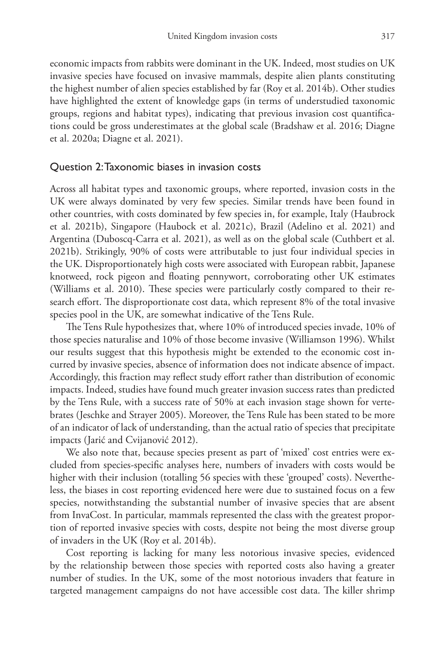economic impacts from rabbits were dominant in the UK. Indeed, most studies on UK invasive species have focused on invasive mammals, despite alien plants constituting the highest number of alien species established by far (Roy et al. 2014b). Other studies have highlighted the extent of knowledge gaps (in terms of understudied taxonomic groups, regions and habitat types), indicating that previous invasion cost quantifications could be gross underestimates at the global scale (Bradshaw et al. 2016; Diagne et al. 2020a; Diagne et al. 2021).

### Question 2: Taxonomic biases in invasion costs

Across all habitat types and taxonomic groups, where reported, invasion costs in the UK were always dominated by very few species. Similar trends have been found in other countries, with costs dominated by few species in, for example, Italy (Haubrock et al. 2021b), Singapore (Haubock et al. 2021c), Brazil (Adelino et al. 2021) and Argentina (Duboscq-Carra et al. 2021), as well as on the global scale (Cuthbert et al. 2021b). Strikingly, 90% of costs were attributable to just four individual species in the UK. Disproportionately high costs were associated with European rabbit, Japanese knotweed, rock pigeon and floating pennywort, corroborating other UK estimates (Williams et al. 2010). These species were particularly costly compared to their research effort. The disproportionate cost data, which represent 8% of the total invasive species pool in the UK, are somewhat indicative of the Tens Rule.

The Tens Rule hypothesizes that, where 10% of introduced species invade, 10% of those species naturalise and 10% of those become invasive (Williamson 1996). Whilst our results suggest that this hypothesis might be extended to the economic cost incurred by invasive species, absence of information does not indicate absence of impact. Accordingly, this fraction may reflect study effort rather than distribution of economic impacts. Indeed, studies have found much greater invasion success rates than predicted by the Tens Rule, with a success rate of 50% at each invasion stage shown for vertebrates (Jeschke and Strayer 2005). Moreover, the Tens Rule has been stated to be more of an indicator of lack of understanding, than the actual ratio of species that precipitate impacts (Jarić and Cvijanović 2012).

We also note that, because species present as part of 'mixed' cost entries were excluded from species-specific analyses here, numbers of invaders with costs would be higher with their inclusion (totalling 56 species with these 'grouped' costs). Nevertheless, the biases in cost reporting evidenced here were due to sustained focus on a few species, notwithstanding the substantial number of invasive species that are absent from InvaCost. In particular, mammals represented the class with the greatest proportion of reported invasive species with costs, despite not being the most diverse group of invaders in the UK (Roy et al. 2014b).

Cost reporting is lacking for many less notorious invasive species, evidenced by the relationship between those species with reported costs also having a greater number of studies. In the UK, some of the most notorious invaders that feature in targeted management campaigns do not have accessible cost data. The killer shrimp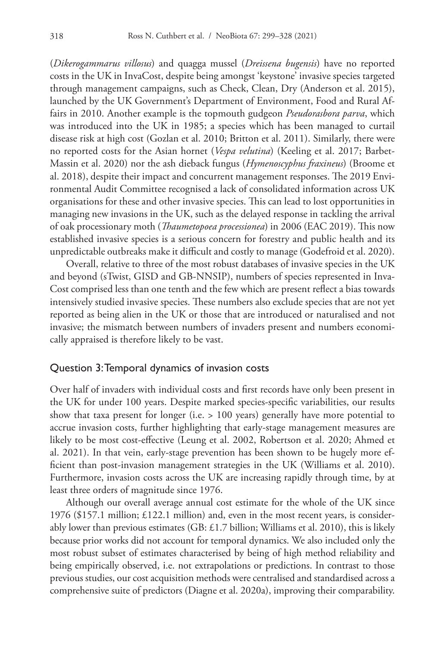(*Dikerogammarus villosus*) and quagga mussel (*Dreissena bugensis*) have no reported costs in the UK in InvaCost, despite being amongst 'keystone' invasive species targeted through management campaigns, such as Check, Clean, Dry (Anderson et al. 2015), launched by the UK Government's Department of Environment, Food and Rural Affairs in 2010. Another example is the topmouth gudgeon *Pseudorasbora parva*, which was introduced into the UK in 1985; a species which has been managed to curtail disease risk at high cost (Gozlan et al. 2010; Britton et al. 2011). Similarly, there were no reported costs for the Asian hornet (*Vespa velutina*) (Keeling et al. 2017; Barbet-Massin et al. 2020) nor the ash dieback fungus (*Hymenoscyphus fraxineus*) (Broome et al. 2018), despite their impact and concurrent management responses. The 2019 Environmental Audit Committee recognised a lack of consolidated information across UK organisations for these and other invasive species. This can lead to lost opportunities in managing new invasions in the UK, such as the delayed response in tackling the arrival of oak processionary moth (*Thaumetopoea processionea*) in 2006 (EAC 2019). This now established invasive species is a serious concern for forestry and public health and its unpredictable outbreaks make it difficult and costly to manage (Godefroid et al. 2020).

Overall, relative to three of the most robust databases of invasive species in the UK and beyond (sTwist, GISD and GB-NNSIP), numbers of species represented in Inva-Cost comprised less than one tenth and the few which are present reflect a bias towards intensively studied invasive species. These numbers also exclude species that are not yet reported as being alien in the UK or those that are introduced or naturalised and not invasive; the mismatch between numbers of invaders present and numbers economically appraised is therefore likely to be vast.

### Question 3: Temporal dynamics of invasion costs

Over half of invaders with individual costs and first records have only been present in the UK for under 100 years. Despite marked species-specific variabilities, our results show that taxa present for longer (i.e. > 100 years) generally have more potential to accrue invasion costs, further highlighting that early-stage management measures are likely to be most cost-effective (Leung et al. 2002, Robertson et al. 2020; Ahmed et al. 2021). In that vein, early-stage prevention has been shown to be hugely more efficient than post-invasion management strategies in the UK (Williams et al. 2010). Furthermore, invasion costs across the UK are increasing rapidly through time, by at least three orders of magnitude since 1976.

Although our overall average annual cost estimate for the whole of the UK since 1976 (\$157.1 million; £122.1 million) and, even in the most recent years, is considerably lower than previous estimates (GB: £1.7 billion; Williams et al. 2010), this is likely because prior works did not account for temporal dynamics. We also included only the most robust subset of estimates characterised by being of high method reliability and being empirically observed, i.e. not extrapolations or predictions. In contrast to those previous studies, our cost acquisition methods were centralised and standardised across a comprehensive suite of predictors (Diagne et al. 2020a), improving their comparability.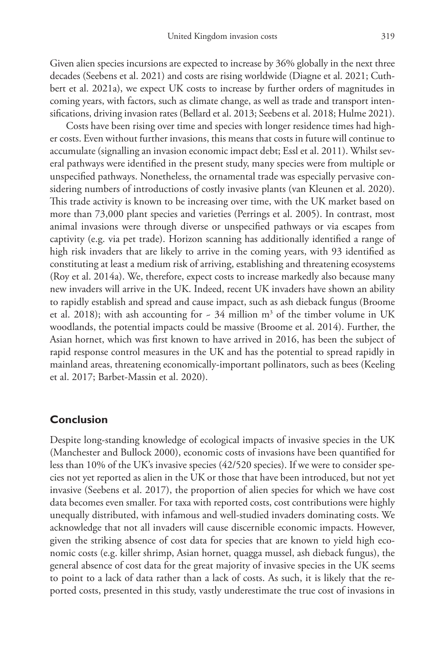Given alien species incursions are expected to increase by 36% globally in the next three decades (Seebens et al. 2021) and costs are rising worldwide (Diagne et al. 2021; Cuthbert et al. 2021a), we expect UK costs to increase by further orders of magnitudes in coming years, with factors, such as climate change, as well as trade and transport intensifications, driving invasion rates (Bellard et al. 2013; Seebens et al. 2018; Hulme 2021).

Costs have been rising over time and species with longer residence times had higher costs. Even without further invasions, this means that costs in future will continue to accumulate (signalling an invasion economic impact debt; Essl et al. 2011). Whilst several pathways were identified in the present study, many species were from multiple or unspecified pathways. Nonetheless, the ornamental trade was especially pervasive considering numbers of introductions of costly invasive plants (van Kleunen et al. 2020). This trade activity is known to be increasing over time, with the UK market based on more than 73,000 plant species and varieties (Perrings et al. 2005). In contrast, most animal invasions were through diverse or unspecified pathways or via escapes from captivity (e.g. via pet trade). Horizon scanning has additionally identified a range of high risk invaders that are likely to arrive in the coming years, with 93 identified as constituting at least a medium risk of arriving, establishing and threatening ecosystems (Roy et al. 2014a). We, therefore, expect costs to increase markedly also because many new invaders will arrive in the UK. Indeed, recent UK invaders have shown an ability to rapidly establish and spread and cause impact, such as ash dieback fungus (Broome et al. 2018); with ash accounting for  $\sim 34$  million m<sup>3</sup> of the timber volume in UK woodlands, the potential impacts could be massive (Broome et al. 2014). Further, the Asian hornet, which was first known to have arrived in 2016, has been the subject of rapid response control measures in the UK and has the potential to spread rapidly in mainland areas, threatening economically-important pollinators, such as bees (Keeling et al. 2017; Barbet-Massin et al. 2020).

### **Conclusion**

Despite long-standing knowledge of ecological impacts of invasive species in the UK (Manchester and Bullock 2000), economic costs of invasions have been quantified for less than 10% of the UK's invasive species (42/520 species). If we were to consider species not yet reported as alien in the UK or those that have been introduced, but not yet invasive (Seebens et al. 2017), the proportion of alien species for which we have cost data becomes even smaller. For taxa with reported costs, cost contributions were highly unequally distributed, with infamous and well-studied invaders dominating costs. We acknowledge that not all invaders will cause discernible economic impacts. However, given the striking absence of cost data for species that are known to yield high economic costs (e.g. killer shrimp, Asian hornet, quagga mussel, ash dieback fungus), the general absence of cost data for the great majority of invasive species in the UK seems to point to a lack of data rather than a lack of costs. As such, it is likely that the reported costs, presented in this study, vastly underestimate the true cost of invasions in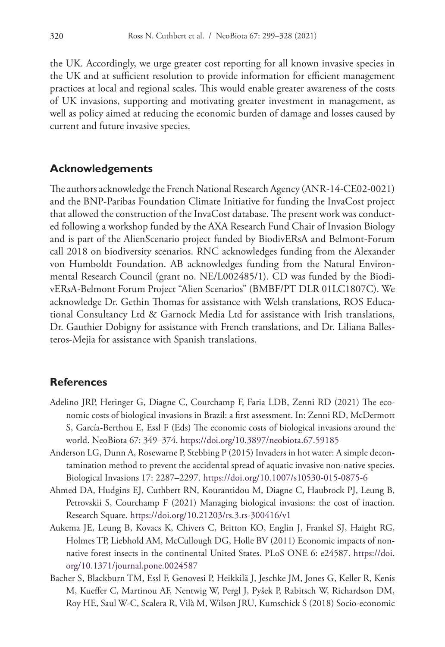the UK. Accordingly, we urge greater cost reporting for all known invasive species in the UK and at sufficient resolution to provide information for efficient management practices at local and regional scales. This would enable greater awareness of the costs of UK invasions, supporting and motivating greater investment in management, as well as policy aimed at reducing the economic burden of damage and losses caused by current and future invasive species.

### **Acknowledgements**

The authors acknowledge the French National Research Agency (ANR-14-CE02-0021) and the BNP-Paribas Foundation Climate Initiative for funding the InvaCost project that allowed the construction of the InvaCost database. The present work was conducted following a workshop funded by the AXA Research Fund Chair of Invasion Biology and is part of the AlienScenario project funded by BiodivERsA and Belmont-Forum call 2018 on biodiversity scenarios. RNC acknowledges funding from the Alexander von Humboldt Foundation. AB acknowledges funding from the Natural Environmental Research Council (grant no. NE/L002485/1). CD was funded by the BiodivERsA-Belmont Forum Project "Alien Scenarios" (BMBF/PT DLR 01LC1807C). We acknowledge Dr. Gethin Thomas for assistance with Welsh translations, ROS Educational Consultancy Ltd & Garnock Media Ltd for assistance with Irish translations, Dr. Gauthier Dobigny for assistance with French translations, and Dr. Liliana Ballesteros-Mejia for assistance with Spanish translations.

### **References**

- Adelino JRP, Heringer G, Diagne C, Courchamp F, Faria LDB, Zenni RD (2021) The economic costs of biological invasions in Brazil: a first assessment. In: Zenni RD, McDermott S, García-Berthou E, Essl F (Eds) The economic costs of biological invasions around the world. NeoBiota 67: 349–374. <https://doi.org/10.3897/neobiota.67.59185>
- Anderson LG, Dunn A, Rosewarne P, Stebbing P (2015) Invaders in hot water: A simple decontamination method to prevent the accidental spread of aquatic invasive non-native species. Biological Invasions 17: 2287–2297. <https://doi.org/10.1007/s10530-015-0875-6>
- Ahmed DA, Hudgins EJ, Cuthbert RN, Kourantidou M, Diagne C, Haubrock PJ, Leung B, Petrovskii S, Courchamp F (2021) Managing biological invasions: the cost of inaction. Research Square. <https://doi.org/10.21203/rs.3.rs-300416/v1>
- Aukema JE, Leung B, Kovacs K, Chivers C, Britton KO, Englin J, Frankel SJ, Haight RG, Holmes TP, Liebhold AM, McCullough DG, Holle BV (2011) Economic impacts of nonnative forest insects in the continental United States. PLoS ONE 6: e24587. [https://doi.](https://doi.org/10.1371/journal.pone.0024587) [org/10.1371/journal.pone.0024587](https://doi.org/10.1371/journal.pone.0024587)
- Bacher S, Blackburn TM, Essl F, Genovesi P, Heikkilä J, Jeschke JM, Jones G, Keller R, Kenis M, Kueffer C, Martinou AF, Nentwig W, Pergl J, Pyšek P, Rabitsch W, Richardson DM, Roy HE, Saul W-C, Scalera R, Vilà M, Wilson JRU, Kumschick S (2018) Socio-economic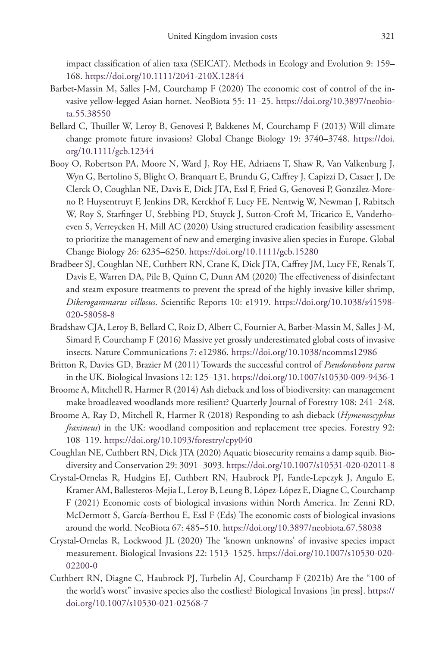impact classification of alien taxa (SEICAT). Methods in Ecology and Evolution 9: 159– 168.<https://doi.org/10.1111/2041-210X.12844>

- Barbet-Massin M, Salles J-M, Courchamp F (2020) The economic cost of control of the invasive yellow-legged Asian hornet. NeoBiota 55: 11–25. [https://doi.org/10.3897/neobio](https://doi.org/10.3897/neobiota.55.38550)[ta.55.38550](https://doi.org/10.3897/neobiota.55.38550)
- Bellard C, Thuiller W, Leroy B, Genovesi P, Bakkenes M, Courchamp F (2013) Will climate change promote future invasions? Global Change Biology 19: 3740–3748. [https://doi.](https://doi.org/10.1111/gcb.12344) [org/10.1111/gcb.12344](https://doi.org/10.1111/gcb.12344)
- Booy O, Robertson PA, Moore N, Ward J, Roy HE, Adriaens T, Shaw R, Van Valkenburg J, Wyn G, Bertolino S, Blight O, Branquart E, Brundu G, Caffrey J, Capizzi D, Casaer J, De Clerck O, Coughlan NE, Davis E, Dick JTA, Essl F, Fried G, Genovesi P, González-Moreno P, Huysentruyt F, Jenkins DR, Kerckhof F, Lucy FE, Nentwig W, Newman J, Rabitsch W, Roy S, Starfinger U, Stebbing PD, Stuyck J, Sutton-Croft M, Tricarico E, Vanderhoeven S, Verreycken H, Mill AC (2020) Using structured eradication feasibility assessment to prioritize the management of new and emerging invasive alien species in Europe. Global Change Biology 26: 6235–6250. <https://doi.org/10.1111/gcb.15280>
- Bradbeer SJ, Coughlan NE, Cuthbert RN, Crane K, Dick JTA, Caffrey JM, Lucy FE, Renals T, Davis E, Warren DA, Pile B, Quinn C, Dunn AM (2020) The effectiveness of disinfectant and steam exposure treatments to prevent the spread of the highly invasive killer shrimp, *Dikerogammarus villosus*. Scientific Reports 10: e1919. [https://doi.org/10.1038/s41598-](https://doi.org/10.1038/s41598-020-58058-8) [020-58058-8](https://doi.org/10.1038/s41598-020-58058-8)
- Bradshaw CJA, Leroy B, Bellard C, Roiz D, Albert C, Fournier A, Barbet-Massin M, Salles J-M, Simard F, Courchamp F (2016) Massive yet grossly underestimated global costs of invasive insects. Nature Communications 7: e12986.<https://doi.org/10.1038/ncomms12986>
- Britton R, Davies GD, Brazier M (2011) Towards the successful control of *Pseudorasbora parva* in the UK. Biological Invasions 12: 125–131.<https://doi.org/10.1007/s10530-009-9436-1>
- Broome A, Mitchell R, Harmer R (2014) Ash dieback and loss of biodiversity: can management make broadleaved woodlands more resilient? Quarterly Journal of Forestry 108: 241–248.
- Broome A, Ray D, Mitchell R, Harmer R (2018) Responding to ash dieback (*Hymenoscyphus fraxineus*) in the UK: woodland composition and replacement tree species. Forestry 92: 108–119.<https://doi.org/10.1093/forestry/cpy040>
- Coughlan NE, Cuthbert RN, Dick JTA (2020) Aquatic biosecurity remains a damp squib. Biodiversity and Conservation 29: 3091–3093.<https://doi.org/10.1007/s10531-020-02011-8>
- Crystal-Ornelas R, Hudgins EJ, Cuthbert RN, Haubrock PJ, Fantle-Lepczyk J, Angulo E, Kramer AM, Ballesteros-Mejia L, Leroy B, Leung B, López-López E, Diagne C, Courchamp F (2021) Economic costs of biological invasions within North America. In: Zenni RD, McDermott S, García-Berthou E, Essl F (Eds) The economic costs of biological invasions around the world. NeoBiota 67: 485–510.<https://doi.org/10.3897/neobiota.67.58038>
- Crystal-Ornelas R, Lockwood JL (2020) The 'known unknowns' of invasive species impact measurement. Biological Invasions 22: 1513–1525. [https://doi.org/10.1007/s10530-020-](https://doi.org/10.1007/s10530-020-02200-0) [02200-0](https://doi.org/10.1007/s10530-020-02200-0)
- Cuthbert RN, Diagne C, Haubrock PJ, Turbelin AJ, Courchamp F (2021b) Are the "100 of the world's worst" invasive species also the costliest? Biological Invasions [in press]. [https://](https://doi.org/10.1007/s10530-021-02568-7) [doi.org/10.1007/s10530-021-02568-7](https://doi.org/10.1007/s10530-021-02568-7)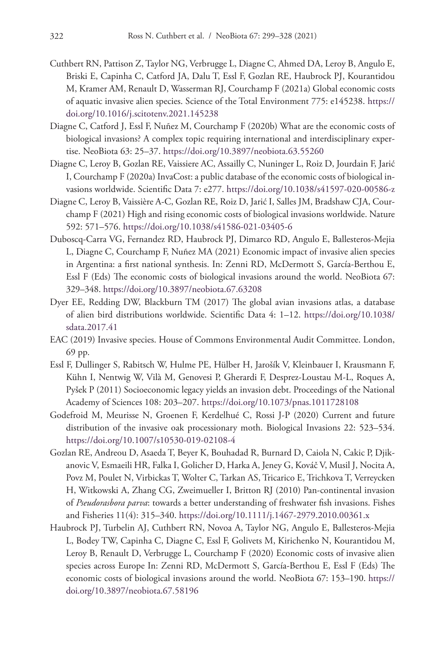- Cuthbert RN, Pattison Z, Taylor NG, Verbrugge L, Diagne C, Ahmed DA, Leroy B, Angulo E, Briski E, Capinha C, Catford JA, Dalu T, Essl F, Gozlan RE, Haubrock PJ, Kourantidou M, Kramer AM, Renault D, Wasserman RJ, Courchamp F (2021a) Global economic costs of aquatic invasive alien species. Science of the Total Environment 775: e145238. [https://](https://doi.org/10.1016/j.scitotenv.2021.145238) [doi.org/10.1016/j.scitotenv.2021.145238](https://doi.org/10.1016/j.scitotenv.2021.145238)
- Diagne C, Catford J, Essl F, Nuñez M, Courchamp F (2020b) What are the economic costs of biological invasions? A complex topic requiring international and interdisciplinary expertise. NeoBiota 63: 25–37. <https://doi.org/10.3897/neobiota.63.55260>
- Diagne C, Leroy B, Gozlan RE, Vaissiere AC, Assailly C, Nuninger L, Roiz D, Jourdain F, Jarić I, Courchamp F (2020a) InvaCost: a public database of the economic costs of biological invasions worldwide. Scientific Data 7: e277.<https://doi.org/10.1038/s41597-020-00586-z>
- Diagne C, Leroy B, Vaissière A-C, Gozlan RE, Roiz D, Jarić I, Salles JM, Bradshaw CJA, Courchamp F (2021) High and rising economic costs of biological invasions worldwide. Nature 592: 571–576.<https://doi.org/10.1038/s41586-021-03405-6>
- Duboscq-Carra VG, Fernandez RD, Haubrock PJ, Dimarco RD, Angulo E, Ballesteros-Mejia L, Diagne C, Courchamp F, Nuñez MA (2021) Economic impact of invasive alien species in Argentina: a first national synthesis. In: Zenni RD, McDermott S, García-Berthou E, Essl F (Eds) The economic costs of biological invasions around the world. NeoBiota 67: 329–348.<https://doi.org/10.3897/neobiota.67.63208>
- Dyer EE, Redding DW, Blackburn TM (2017) The global avian invasions atlas, a database of alien bird distributions worldwide. Scientific Data 4: 1–12. [https://doi.org/10.1038/](https://doi.org/10.1038/sdata.2017.41) [sdata.2017.41](https://doi.org/10.1038/sdata.2017.41)
- EAC (2019) Invasive species. House of Commons Environmental Audit Committee. London, 69 pp.
- Essl F, Dullinger S, Rabitsch W, Hulme PE, Hülber H, Jarošík V, Kleinbauer I, Krausmann F, Kühn I, Nentwig W, Vilà M, Genovesi P, Gherardi F, Desprez-Loustau M-L, Roques A, Pyšek P (2011) Socioeconomic legacy yields an invasion debt. Proceedings of the National Academy of Sciences 108: 203–207.<https://doi.org/10.1073/pnas.1011728108>
- Godefroid M, Meurisse N, Groenen F, Kerdelhué C, Rossi J-P (2020) Current and future distribution of the invasive oak processionary moth. Biological Invasions 22: 523–534. <https://doi.org/10.1007/s10530-019-02108-4>
- Gozlan RE, Andreou D, Asaeda T, Beyer K, Bouhadad R, Burnard D, Caiola N, Cakic P, Djikanovic V, Esmaeili HR, Falka I, Golicher D, Harka A, Jeney G, Kováč V, Musil J, Nocita A, Povz M, Poulet N, Virbickas T, Wolter C, Tarkan AS, Tricarico E, Trichkova T, Verreycken H, Witkowski A, Zhang CG, Zweimueller I, Britton RJ (2010) Pan-continental invasion of *Pseudorasbora parva*: towards a better understanding of freshwater fish invasions. Fishes and Fisheries 11(4): 315–340.<https://doi.org/10.1111/j.1467-2979.2010.00361.x>
- Haubrock PJ, Turbelin AJ, Cuthbert RN, Novoa A, Taylor NG, Angulo E, Ballesteros-Mejia L, Bodey TW, Capinha C, Diagne C, Essl F, Golivets M, Kirichenko N, Kourantidou M, Leroy B, Renault D, Verbrugge L, Courchamp F (2020) Economic costs of invasive alien species across Europe In: Zenni RD, McDermott S, García-Berthou E, Essl F (Eds) The economic costs of biological invasions around the world. NeoBiota 67: 153–190. [https://](https://doi.org/10.3897/neobiota.67.58196) [doi.org/10.3897/neobiota.67.58196](https://doi.org/10.3897/neobiota.67.58196)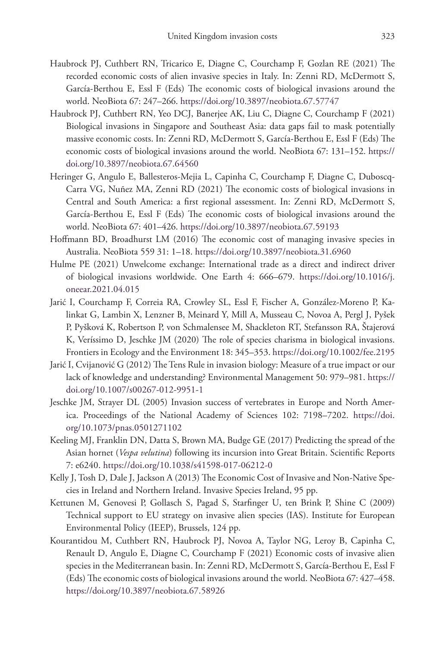- Haubrock PJ, Cuthbert RN, Tricarico E, Diagne C, Courchamp F, Gozlan RE (2021) The recorded economic costs of alien invasive species in Italy. In: Zenni RD, McDermott S, García-Berthou E, Essl F (Eds) The economic costs of biological invasions around the world. NeoBiota 67: 247–266. <https://doi.org/10.3897/neobiota.67.57747>
- Haubrock PJ, Cuthbert RN, Yeo DCJ, Banerjee AK, Liu C, Diagne C, Courchamp F (2021) Biological invasions in Singapore and Southeast Asia: data gaps fail to mask potentially massive economic costs. In: Zenni RD, McDermott S, García-Berthou E, Essl F (Eds) The economic costs of biological invasions around the world. NeoBiota 67: 131–152. [https://](https://doi.org/10.3897/neobiota.67.64560) [doi.org/10.3897/neobiota.67.64560](https://doi.org/10.3897/neobiota.67.64560)
- Heringer G, Angulo E, Ballesteros-Mejia L, Capinha C, Courchamp F, Diagne C, Duboscq-Carra VG, Nuñez MA, Zenni RD (2021) The economic costs of biological invasions in Central and South America: a first regional assessment. In: Zenni RD, McDermott S, García-Berthou E, Essl F (Eds) The economic costs of biological invasions around the world. NeoBiota 67: 401–426. <https://doi.org/10.3897/neobiota.67.59193>
- Hoffmann BD, Broadhurst LM (2016) The economic cost of managing invasive species in Australia. NeoBiota 559 31: 1–18.<https://doi.org/10.3897/neobiota.31.6960>
- Hulme PE (2021) Unwelcome exchange: International trade as a direct and indirect driver of biological invasions worldwide. One Earth 4: 666–679. [https://doi.org/10.1016/j.](https://doi.org/10.1016/j.oneear.2021.04.015) [oneear.2021.04.015](https://doi.org/10.1016/j.oneear.2021.04.015)
- Jarić I, Courchamp F, Correia RA, Crowley SL, Essl F, Fischer A, González-Moreno P, Kalinkat G, Lambin X, Lenzner B, Meinard Y, Mill A, Musseau C, Novoa A, Pergl J, Pyšek P, Pyšková K, Robertson P, von Schmalensee M, Shackleton RT, Stefansson RA, Štajerová K, Veríssimo D, Jeschke JM (2020) The role of species charisma in biological invasions. Frontiers in Ecology and the Environment 18: 345–353.<https://doi.org/10.1002/fee.2195>
- Jarić I, Cvijanović G (2012) The Tens Rule in invasion biology: Measure of a true impact or our lack of knowledge and understanding? Environmental Management 50: 979–981. [https://](https://doi.org/10.1007/s00267-012-9951-1) [doi.org/10.1007/s00267-012-9951-1](https://doi.org/10.1007/s00267-012-9951-1)
- Jeschke JM, Strayer DL (2005) Invasion success of vertebrates in Europe and North America. Proceedings of the National Academy of Sciences 102: 7198–7202. [https://doi.](https://doi.org/10.1073/pnas.0501271102) [org/10.1073/pnas.0501271102](https://doi.org/10.1073/pnas.0501271102)
- Keeling MJ, Franklin DN, Datta S, Brown MA, Budge GE (2017) Predicting the spread of the Asian hornet (*Vespa velutina*) following its incursion into Great Britain. Scientific Reports 7: e6240.<https://doi.org/10.1038/s41598-017-06212-0>
- Kelly J, Tosh D, Dale J, Jackson A (2013) The Economic Cost of Invasive and Non-Native Species in Ireland and Northern Ireland. Invasive Species Ireland, 95 pp.
- Kettunen M, Genovesi P, Gollasch S, Pagad S, Starfinger U, ten Brink P, Shine C (2009) Technical support to EU strategy on invasive alien species (IAS). Institute for European Environmental Policy (IEEP), Brussels, 124 pp.
- Kourantidou M, Cuthbert RN, Haubrock PJ, Novoa A, Taylor NG, Leroy B, Capinha C, Renault D, Angulo E, Diagne C, Courchamp F (2021) Economic costs of invasive alien species in the Mediterranean basin. In: Zenni RD, McDermott S, García-Berthou E, Essl F (Eds) The economic costs of biological invasions around the world. NeoBiota 67: 427–458. <https://doi.org/10.3897/neobiota.67.58926>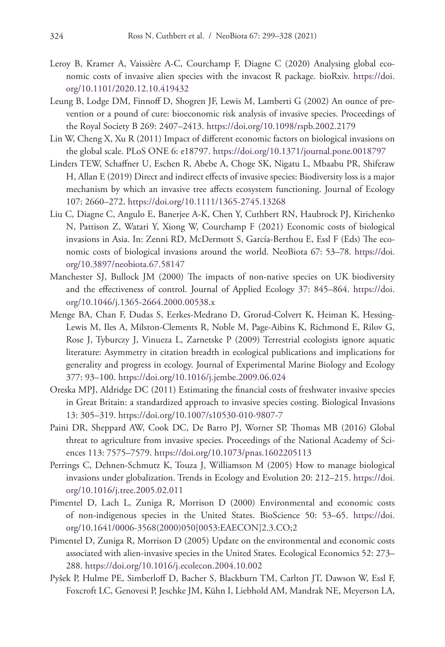- Leroy B, Kramer A, Vaissière A-C, Courchamp F, Diagne C (2020) Analysing global economic costs of invasive alien species with the invacost R package. bioRxiv. [https://doi.](https://doi.org/10.1101/2020.12.10.419432) [org/10.1101/2020.12.10.419432](https://doi.org/10.1101/2020.12.10.419432)
- Leung B, Lodge DM, Finnoff D, Shogren JF, Lewis M, Lamberti G (2002) An ounce of prevention or a pound of cure: bioeconomic risk analysis of invasive species. Proceedings of the Royal Society B 269: 2407–2413.<https://doi.org/10.1098/rspb.2002.2179>
- Lin W, Cheng X, Xu R (2011) Impact of different economic factors on biological invasions on the global scale. PLoS ONE 6: e18797. <https://doi.org/10.1371/journal.pone.0018797>
- Linders TEW, Schaffner U, Eschen R, Abebe A, Choge SK, Nigatu L, Mbaabu PR, Shiferaw H, Allan E (2019) Direct and indirect effects of invasive species: Biodiversity loss is a major mechanism by which an invasive tree affects ecosystem functioning. Journal of Ecology 107: 2660–272.<https://doi.org/10.1111/1365-2745.13268>
- Liu C, Diagne C, Angulo E, Banerjee A-K, Chen Y, Cuthbert RN, Haubrock PJ, Kirichenko N, Pattison Z, Watari Y, Xiong W, Courchamp F (2021) Economic costs of biological invasions in Asia. In: Zenni RD, McDermott S, García-Berthou E, Essl F (Eds) The economic costs of biological invasions around the world. NeoBiota 67: 53–78. [https://doi.](https://doi.org/10.3897/neobiota.67.58147) [org/10.3897/neobiota.67.58147](https://doi.org/10.3897/neobiota.67.58147)
- Manchester SJ, Bullock JM (2000) The impacts of non-native species on UK biodiversity and the effectiveness of control. Journal of Applied Ecology 37: 845–864. [https://doi.](https://doi.org/10.1046/j.1365-2664.2000.00538.x) [org/10.1046/j.1365-2664.2000.00538.x](https://doi.org/10.1046/j.1365-2664.2000.00538.x)
- Menge BA, Chan F, Dudas S, Eerkes-Medrano D, Grorud-Colvert K, Heiman K, Hessing-Lewis M, Iles A, Milston-Clements R, Noble M, Page-Aibins K, Richmond E, Rilov G, Rose J, Tyburczy J, Vinueza L, Zarnetske P (2009) Terrestrial ecologists ignore aquatic literature: Asymmetry in citation breadth in ecological publications and implications for generality and progress in ecology. Journal of Experimental Marine Biology and Ecology 377: 93–100.<https://doi.org/10.1016/j.jembe.2009.06.024>
- Oreska MPJ, Aldridge DC (2011) Estimating the financial costs of freshwater invasive species in Great Britain: a standardized approach to invasive species costing. Biological Invasions 13: 305–319.<https://doi.org/10.1007/s10530-010-9807-7>
- Paini DR, Sheppard AW, Cook DC, De Barro PJ, Worner SP, Thomas MB (2016) Global threat to agriculture from invasive species. Proceedings of the National Academy of Sciences 113: 7575–7579.<https://doi.org/10.1073/pnas.1602205113>
- Perrings C, Dehnen-Schmutz K, Touza J, Williamson M (2005) How to manage biological invasions under globalization. Trends in Ecology and Evolution 20: 212–215. [https://doi.](https://doi.org/10.1016/j.tree.2005.02.011) [org/10.1016/j.tree.2005.02.011](https://doi.org/10.1016/j.tree.2005.02.011)
- Pimentel D, Lach L, Zuniga R, Morrison D (2000) Environmental and economic costs of non-indigenous species in the United States. BioScience 50: 53–65. [https://doi.](https://doi.org/10.1641/0006-3568(2000)050%5B0053:EAECON%5D2.3.CO;2) [org/10.1641/0006-3568\(2000\)050\[0053:EAECON\]2.3.CO;2](https://doi.org/10.1641/0006-3568(2000)050%5B0053:EAECON%5D2.3.CO;2)
- Pimentel D, Zuniga R, Morrison D (2005) Update on the environmental and economic costs associated with alien-invasive species in the United States. Ecological Economics 52: 273– 288.<https://doi.org/10.1016/j.ecolecon.2004.10.002>
- Pyšek P, Hulme PE, Simberloff D, Bacher S, Blackburn TM, Carlton JT, Dawson W, Essl F, Foxcroft LC, Genovesi P, Jeschke JM, Kühn I, Liebhold AM, Mandrak NE, Meyerson LA,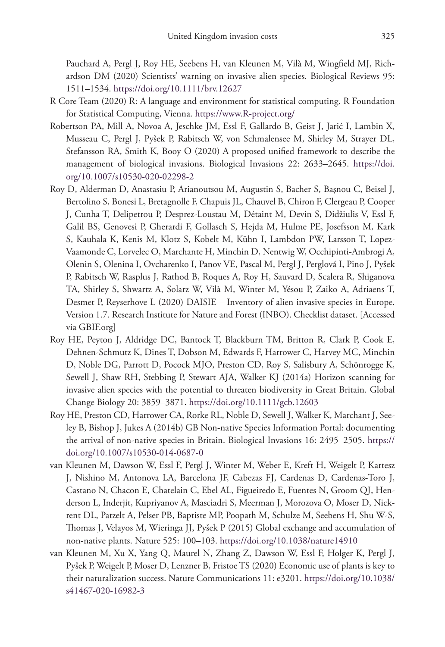Pauchard A, Pergl J, Roy HE, Seebens H, van Kleunen M, Vilà M, Wingfield MJ, Richardson DM (2020) Scientists' warning on invasive alien species. Biological Reviews 95: 1511–1534.<https://doi.org/10.1111/brv.12627>

- R Core Team (2020) R: A language and environment for statistical computing. R Foundation for Statistical Computing, Vienna.<https://www.R-project.org/>
- Robertson PA, Mill A, Novoa A, Jeschke JM, Essl F, Gallardo B, Geist J, Jarić I, Lambin X, Musseau C, Pergl J, Pyšek P, Rabitsch W, von Schmalensee M, Shirley M, Strayer DL, Stefansson RA, Smith K, Booy O (2020) A proposed unified framework to describe the management of biological invasions. Biological Invasions 22: 2633–2645. [https://doi.](https://doi.org/10.1007/s10530-020-02298-2) [org/10.1007/s10530-020-02298-2](https://doi.org/10.1007/s10530-020-02298-2)
- Roy D, Alderman D, Anastasiu P, Arianoutsou M, Augustin S, Bacher S, Başnou C, Beisel J, Bertolino S, Bonesi L, Bretagnolle F, Chapuis JL, Chauvel B, Chiron F, Clergeau P, Cooper J, Cunha T, Delipetrou P, Desprez-Loustau M, Détaint M, Devin S, Didžiulis V, Essl F, Galil BS, Genovesi P, Gherardi F, Gollasch S, Hejda M, Hulme PE, Josefsson M, Kark S, Kauhala K, Kenis M, Klotz S, Kobelt M, Kühn I, Lambdon PW, Larsson T, Lopez-Vaamonde C, Lorvelec O, Marchante H, Minchin D, Nentwig W, Occhipinti-Ambrogi A, Olenin S, Olenina I, Ovcharenko I, Panov VE, Pascal M, Pergl J, Perglová I, Pino J, Pyšek P, Rabitsch W, Rasplus J, Rathod B, Roques A, Roy H, Sauvard D, Scalera R, Shiganova TA, Shirley S, Shwartz A, Solarz W, Vilà M, Winter M, Yésou P, Zaiko A, Adriaens T, Desmet P, Reyserhove L (2020) DAISIE – Inventory of alien invasive species in Europe. Version 1.7. Research Institute for Nature and Forest (INBO). Checklist dataset. [Accessed via GBIF.org]
- Roy HE, Peyton J, Aldridge DC, Bantock T, Blackburn TM, Britton R, Clark P, Cook E, Dehnen-Schmutz K, Dines T, Dobson M, Edwards F, Harrower C, Harvey MC, Minchin D, Noble DG, Parrott D, Pocock MJO, Preston CD, Roy S, Salisbury A, Schönrogge K, Sewell J, Shaw RH, Stebbing P, Stewart AJA, Walker KJ (2014a) Horizon scanning for invasive alien species with the potential to threaten biodiversity in Great Britain. Global Change Biology 20: 3859–3871. <https://doi.org/10.1111/gcb.12603>
- Roy HE, Preston CD, Harrower CA, Rorke RL, Noble D, Sewell J, Walker K, Marchant J, Seeley B, Bishop J, Jukes A (2014b) GB Non-native Species Information Portal: documenting the arrival of non-native species in Britain. Biological Invasions 16: 2495–2505. [https://](https://doi.org/10.1007/s10530-014-0687-0) [doi.org/10.1007/s10530-014-0687-0](https://doi.org/10.1007/s10530-014-0687-0)
- van Kleunen M, Dawson W, Essl F, Pergl J, Winter M, Weber E, Kreft H, Weigelt P, Kartesz J, Nishino M, Antonova LA, Barcelona JF, Cabezas FJ, Cardenas D, Cardenas-Toro J, Castano N, Chacon E, Chatelain C, Ebel AL, Figueiredo E, Fuentes N, Groom QJ, Henderson L, Inderjit, Kupriyanov A, Masciadri S, Meerman J, Morozova O, Moser D, Nickrent DL, Patzelt A, Pelser PB, Baptiste MP, Poopath M, Schulze M, Seebens H, Shu W-S, Thomas J, Velayos M, Wieringa JJ, Pyšek P (2015) Global exchange and accumulation of non-native plants. Nature 525: 100–103.<https://doi.org/10.1038/nature14910>
- van Kleunen M, Xu X, Yang Q, Maurel N, Zhang Z, Dawson W, Essl F, Holger K, Pergl J, Pyšek P, Weigelt P, Moser D, Lenzner B, Fristoe TS (2020) Economic use of plants is key to their naturalization success. Nature Communications 11: e3201. [https://doi.org/10.1038/](https://doi.org/10.1038/s41467-020-16982-3) [s41467-020-16982-3](https://doi.org/10.1038/s41467-020-16982-3)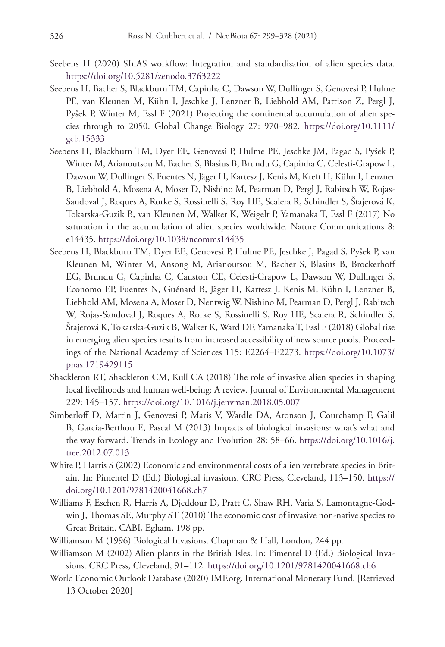- Seebens H (2020) SInAS workflow: Integration and standardisation of alien species data. <https://doi.org/10.5281/zenodo.3763222>
- Seebens H, Bacher S, Blackburn TM, Capinha C, Dawson W, Dullinger S, Genovesi P, Hulme PE, van Kleunen M, Kühn I, Jeschke J, Lenzner B, Liebhold AM, Pattison Z, Pergl J, Pyšek P, Winter M, Essl F (2021) Projecting the continental accumulation of alien species through to 2050. Global Change Biology 27: 970–982. [https://doi.org/10.1111/](https://doi.org/10.1111/gcb.15333) [gcb.15333](https://doi.org/10.1111/gcb.15333)
- Seebens H, Blackburn TM, Dyer EE, Genovesi P, Hulme PE, Jeschke JM, Pagad S, Pyšek P, Winter M, Arianoutsou M, Bacher S, Blasius B, Brundu G, Capinha C, Celesti-Grapow L, Dawson W, Dullinger S, Fuentes N, Jäger H, Kartesz J, Kenis M, Kreft H, Kühn I, Lenzner B, Liebhold A, Mosena A, Moser D, Nishino M, Pearman D, Pergl J, Rabitsch W, Rojas-Sandoval J, Roques A, Rorke S, Rossinelli S, Roy HE, Scalera R, Schindler S, Štajerová K, Tokarska-Guzik B, van Kleunen M, Walker K, Weigelt P, Yamanaka T, Essl F (2017) No saturation in the accumulation of alien species worldwide. Nature Communications 8: e14435.<https://doi.org/10.1038/ncomms14435>
- Seebens H, Blackburn TM, Dyer EE, Genovesi P, Hulme PE, Jeschke J, Pagad S, Pyšek P, van Kleunen M, Winter M, Ansong M, Arianoutsou M, Bacher S, Blasius B, Brockerhoff EG, Brundu G, Capinha C, Causton CE, Celesti-Grapow L, Dawson W, Dullinger S, Economo EP, Fuentes N, Guénard B, Jäger H, Kartesz J, Kenis M, Kühn I, Lenzner B, Liebhold AM, Mosena A, Moser D, Nentwig W, Nishino M, Pearman D, Pergl J, Rabitsch W, Rojas-Sandoval J, Roques A, Rorke S, Rossinelli S, Roy HE, Scalera R, Schindler S, Štajerová K, Tokarska-Guzik B, Walker K, Ward DF, Yamanaka T, Essl F (2018) Global rise in emerging alien species results from increased accessibility of new source pools. Proceedings of the National Academy of Sciences 115: E2264–E2273. [https://doi.org/10.1073/](https://doi.org/10.1073/pnas.1719429115) [pnas.1719429115](https://doi.org/10.1073/pnas.1719429115)
- Shackleton RT, Shackleton CM, Kull CA (2018) The role of invasive alien species in shaping local livelihoods and human well-being: A review. Journal of Environmental Management 229: 145–157.<https://doi.org/10.1016/j.jenvman.2018.05.007>
- Simberloff D, Martin J, Genovesi P, Maris V, Wardle DA, Aronson J, Courchamp F, Galil B, García-Berthou E, Pascal M (2013) Impacts of biological invasions: what's what and the way forward. Trends in Ecology and Evolution 28: 58–66. [https://doi.org/10.1016/j.](https://doi.org/10.1016/j.tree.2012.07.013) [tree.2012.07.013](https://doi.org/10.1016/j.tree.2012.07.013)
- White P, Harris S (2002) Economic and environmental costs of alien vertebrate species in Britain. In: Pimentel D (Ed.) Biological invasions. CRC Press, Cleveland, 113–150. [https://](https://doi.org/10.1201/9781420041668.ch7) [doi.org/10.1201/9781420041668.ch7](https://doi.org/10.1201/9781420041668.ch7)
- Williams F, Eschen R, Harris A, Djeddour D, Pratt C, Shaw RH, Varia S, Lamontagne-Godwin J, Thomas SE, Murphy ST (2010) The economic cost of invasive non-native species to Great Britain. CABI, Egham, 198 pp.
- Williamson M (1996) Biological Invasions. Chapman & Hall, London, 244 pp.
- Williamson M (2002) Alien plants in the British Isles. In: Pimentel D (Ed.) Biological Invasions. CRC Press, Cleveland, 91–112.<https://doi.org/10.1201/9781420041668.ch6>
- World Economic Outlook Database (2020) IMF.org. International Monetary Fund. [Retrieved 13 October 2020]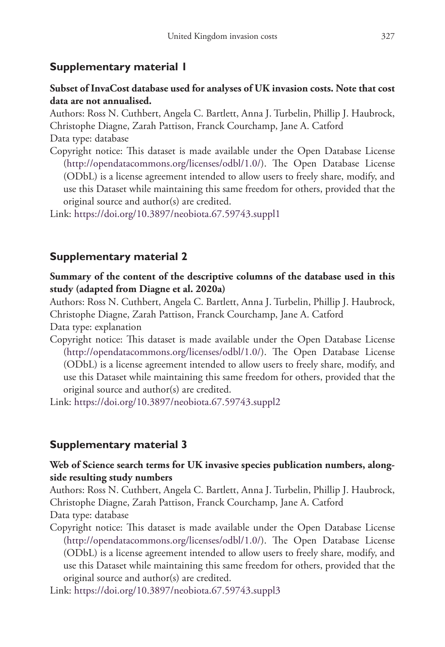## **Supplementary material 1**

### **Subset of InvaCost database used for analyses of UK invasion costs. Note that cost data are not annualised.**

Authors: Ross N. Cuthbert, Angela C. Bartlett, Anna J. Turbelin, Phillip J. Haubrock, Christophe Diagne, Zarah Pattison, Franck Courchamp, Jane A. Catford

Data type: database

Copyright notice: This dataset is made available under the Open Database License [\(http://opendatacommons.org/licenses/odbl/1.0/](http://opendatacommons.org/licenses/odbl/1.0/)). The Open Database License (ODbL) is a license agreement intended to allow users to freely share, modify, and use this Dataset while maintaining this same freedom for others, provided that the original source and author(s) are credited.

Link: <https://doi.org/10.3897/neobiota.67.59743.suppl1>

## **Supplementary material 2**

**Summary of the content of the descriptive columns of the database used in this study (adapted from Diagne et al. 2020a)**

Authors: Ross N. Cuthbert, Angela C. Bartlett, Anna J. Turbelin, Phillip J. Haubrock, Christophe Diagne, Zarah Pattison, Franck Courchamp, Jane A. Catford Data type: explanation

Copyright notice: This dataset is made available under the Open Database License [\(http://opendatacommons.org/licenses/odbl/1.0/](http://opendatacommons.org/licenses/odbl/1.0/)). The Open Database License (ODbL) is a license agreement intended to allow users to freely share, modify, and use this Dataset while maintaining this same freedom for others, provided that the original source and author(s) are credited.

Link: <https://doi.org/10.3897/neobiota.67.59743.suppl2>

## **Supplementary material 3**

## **Web of Science search terms for UK invasive species publication numbers, alongside resulting study numbers**

Authors: Ross N. Cuthbert, Angela C. Bartlett, Anna J. Turbelin, Phillip J. Haubrock, Christophe Diagne, Zarah Pattison, Franck Courchamp, Jane A. Catford

Data type: database

Copyright notice: This dataset is made available under the Open Database License [\(http://opendatacommons.org/licenses/odbl/1.0/](http://opendatacommons.org/licenses/odbl/1.0/)). The Open Database License (ODbL) is a license agreement intended to allow users to freely share, modify, and use this Dataset while maintaining this same freedom for others, provided that the original source and author(s) are credited.

Link: <https://doi.org/10.3897/neobiota.67.59743.suppl3>